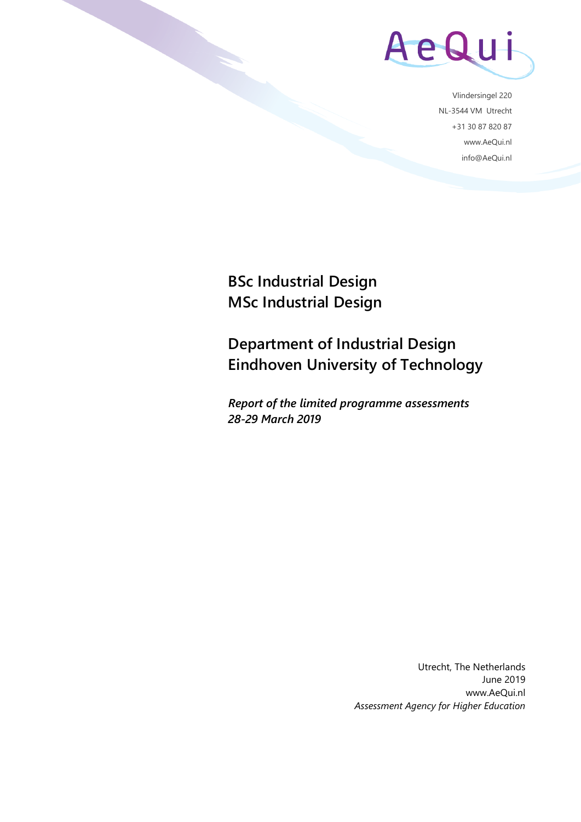

Vlindersingel 220 NL-3544 VM Utrecht +31 30 87 820 87 www.AeQui.nl info@AeQui.nl

**BSc Industrial Design MSc Industrial Design**

**Department of Industrial Design Eindhoven University of Technology**

*Report of the limited programme assessments 28-29 March 2019*

> Utrecht, The Netherlands June 2019 www.AeQui.nl *Assessment Agency for Higher Education*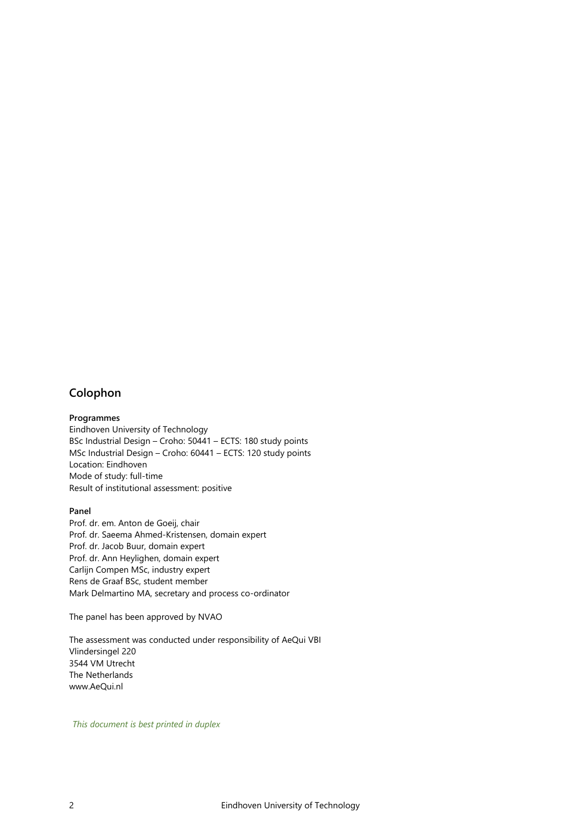#### <span id="page-1-0"></span>**Colophon**

#### **Programmes**

Eindhoven University of Technology BSc Industrial Design – Croho: 50441 – ECTS: 180 study points MSc Industrial Design – Croho: 60441 – ECTS: 120 study points Location: Eindhoven Mode of study: full-time Result of institutional assessment: positive

#### **Panel**

Prof. dr. em. Anton de Goeij, chair Prof. dr. Saeema Ahmed-Kristensen, domain expert Prof. dr. Jacob Buur, domain expert Prof. dr. Ann Heylighen, domain expert Carlijn Compen MSc, industry expert Rens de Graaf BSc, student member Mark Delmartino MA, secretary and process co-ordinator

The panel has been approved by NVAO

The assessment was conducted under responsibility of AeQui VBI Vlindersingel 220 3544 VM Utrecht The Netherlands www.AeQui.nl

*This document is best printed in duplex*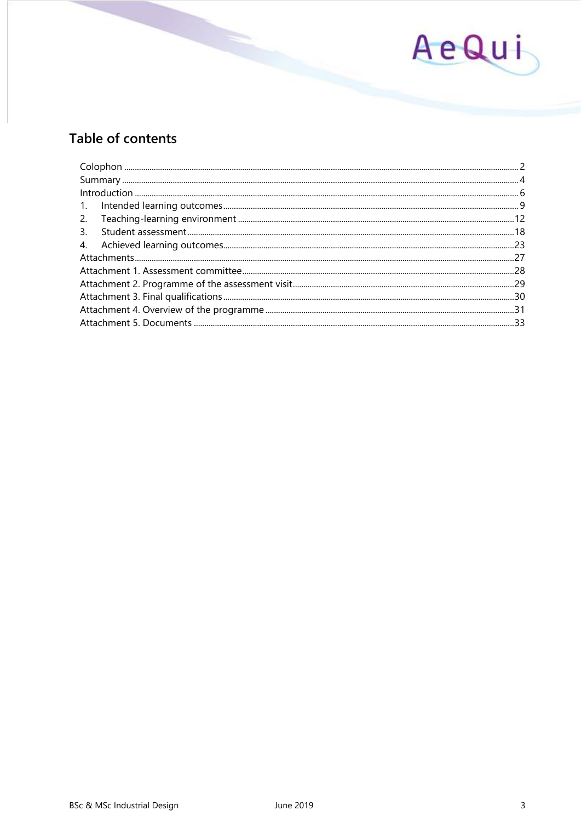

# Table of contents

| 3. |  |
|----|--|
|    |  |
|    |  |
|    |  |
|    |  |
|    |  |
|    |  |
|    |  |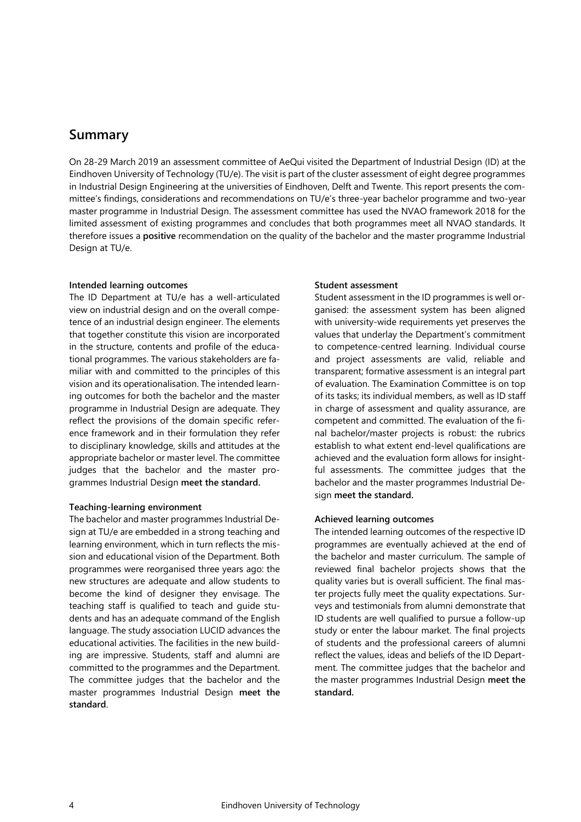### <span id="page-3-0"></span>**Summary**

On 28-29 March 2019 an assessment committee of AeQui visited the Department of Industrial Design (ID) at the Eindhoven University of Technology (TU/e). The visit is part of the cluster assessment of eight degree programmes in Industrial Design Engineering at the universities of Eindhoven, Delft and Twente. This report presents the committee's findings, considerations and recommendations on TU/e's three-year bachelor programme and two-year master programme in Industrial Design. The assessment committee has used the NVAO framework 2018 for the limited assessment of existing programmes and concludes that both programmes meet all NVAO standards. It therefore issues a **positive** recommendation on the quality of the bachelor and the master programme Industrial Design at TU/e.

#### **Intended learning outcomes**

The ID Department at TU/e has a well-articulated view on industrial design and on the overall competence of an industrial design engineer. The elements that together constitute this vision are incorporated in the structure, contents and profile of the educational programmes. The various stakeholders are familiar with and committed to the principles of this vision and its operationalisation. The intended learning outcomes for both the bachelor and the master programme in Industrial Design are adequate. They reflect the provisions of the domain specific reference framework and in their formulation they refer to disciplinary knowledge, skills and attitudes at the appropriate bachelor or master level. The committee judges that the bachelor and the master programmes Industrial Design **meet the standard.** 

#### **Teaching-learning environment**

The bachelor and master programmes Industrial Design at TU/e are embedded in a strong teaching and learning environment, which in turn reflects the mission and educational vision of the Department. Both programmes were reorganised three years ago: the new structures are adequate and allow students to become the kind of designer they envisage. The teaching staff is qualified to teach and guide students and has an adequate command of the English language. The study association LUCID advances the educational activities. The facilities in the new building are impressive. Students, staff and alumni are committed to the programmes and the Department. The committee judges that the bachelor and the master programmes Industrial Design **meet the standard**.

#### **Student assessment**

Student assessment in the ID programmes is well organised: the assessment system has been aligned with university-wide requirements yet preserves the values that underlay the Department's commitment to competence-centred learning. Individual course and project assessments are valid, reliable and transparent; formative assessment is an integral part of evaluation. The Examination Committee is on top of its tasks; its individual members, as well as ID staff in charge of assessment and quality assurance, are competent and committed. The evaluation of the final bachelor/master projects is robust: the rubrics establish to what extent end-level qualifications are achieved and the evaluation form allows for insightful assessments. The committee judges that the bachelor and the master programmes Industrial Design **meet the standard.**

#### **Achieved learning outcomes**

The intended learning outcomes of the respective ID programmes are eventually achieved at the end of the bachelor and master curriculum. The sample of reviewed final bachelor projects shows that the quality varies but is overall sufficient. The final master projects fully meet the quality expectations. Surveys and testimonials from alumni demonstrate that ID students are well qualified to pursue a follow-up study or enter the labour market. The final projects of students and the professional careers of alumni reflect the values, ideas and beliefs of the ID Department. The committee judges that the bachelor and the master programmes Industrial Design **meet the standard.**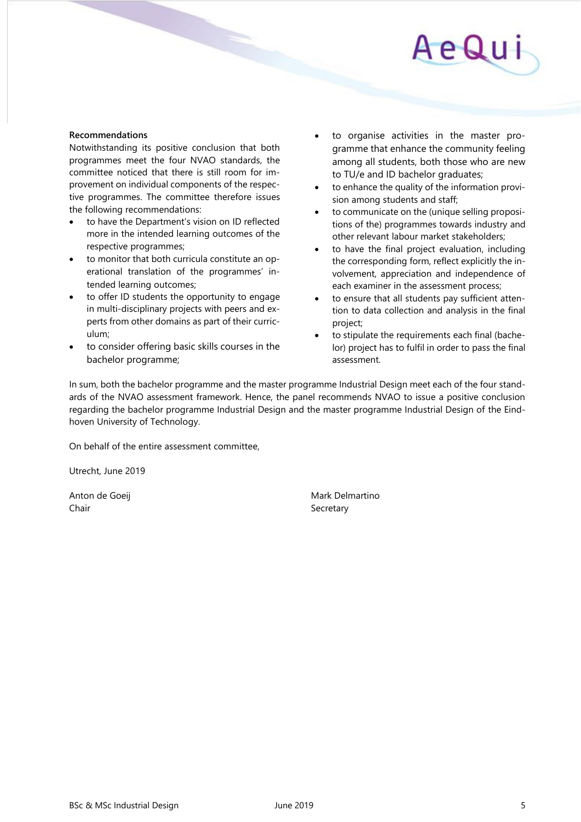#### **Recommendations**

Notwithstanding its positive conclusion that both programmes meet the four NVAO standards, the committee noticed that there is still room for improvement on individual components of the respective programmes. The committee therefore issues the following recommendations:

- to have the Department's vision on ID reflected more in the intended learning outcomes of the respective programmes;
- to monitor that both curricula constitute an operational translation of the programmes' intended learning outcomes;
- to offer ID students the opportunity to engage in multi-disciplinary projects with peers and experts from other domains as part of their curriculum;
- to consider offering basic skills courses in the bachelor programme;
- to organise activities in the master programme that enhance the community feeling among all students, both those who are new to TU/e and ID bachelor graduates;
- to enhance the quality of the information provision among students and staff;
- to communicate on the (unique selling propositions of the) programmes towards industry and other relevant labour market stakeholders;
- to have the final project evaluation, including the corresponding form, reflect explicitly the involvement, appreciation and independence of each examiner in the assessment process;
- to ensure that all students pay sufficient attention to data collection and analysis in the final project;
- to stipulate the requirements each final (bachelor) project has to fulfil in order to pass the final assessment.

In sum, both the bachelor programme and the master programme Industrial Design meet each of the four standards of the NVAO assessment framework. Hence, the panel recommends NVAO to issue a positive conclusion regarding the bachelor programme Industrial Design and the master programme Industrial Design of the Eindhoven University of Technology.

On behalf of the entire assessment committee,

Utrecht, June 2019

Chair Secretary Secretary

Anton de Goeij **Mark Delmartino** Mark Delmartino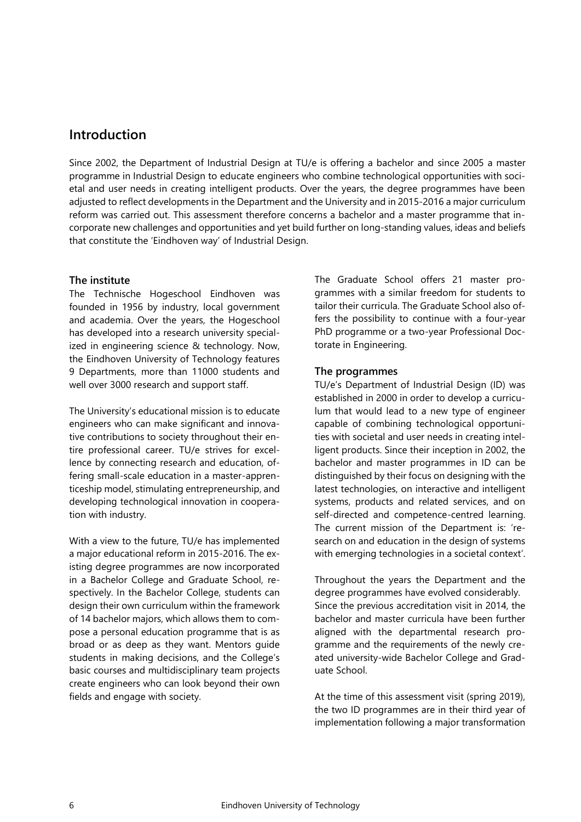### <span id="page-5-0"></span>**Introduction**

Since 2002, the Department of Industrial Design at TU/e is offering a bachelor and since 2005 a master programme in Industrial Design to educate engineers who combine technological opportunities with societal and user needs in creating intelligent products. Over the years, the degree programmes have been adjusted to reflect developments in the Department and the University and in 2015-2016 a major curriculum reform was carried out. This assessment therefore concerns a bachelor and a master programme that incorporate new challenges and opportunities and yet build further on long-standing values, ideas and beliefs that constitute the 'Eindhoven way' of Industrial Design.

#### **The institute**

The Technische Hogeschool Eindhoven was founded in 1956 by industry, local government and academia. Over the years, the Hogeschool has developed into a research university specialized in engineering science & technology. Now, the Eindhoven University of Technology features 9 Departments, more than 11000 students and well over 3000 research and support staff.

The University's educational mission is to educate engineers who can make significant and innovative contributions to society throughout their entire professional career. TU/e strives for excellence by connecting research and education, offering small-scale education in a master-apprenticeship model, stimulating entrepreneurship, and developing technological innovation in cooperation with industry.

With a view to the future, TU/e has implemented a major educational reform in 2015-2016. The existing degree programmes are now incorporated in a Bachelor College and Graduate School, respectively. In the Bachelor College, students can design their own curriculum within the framework of 14 bachelor majors, which allows them to compose a personal education programme that is as broad or as deep as they want. Mentors guide students in making decisions, and the College's basic courses and multidisciplinary team projects create engineers who can look beyond their own fields and engage with society.

The Graduate School offers 21 master programmes with a similar freedom for students to tailor their curricula. The Graduate School also offers the possibility to continue with a four-year PhD programme or a two-year Professional Doctorate in Engineering.

#### **The programmes**

TU/e's Department of Industrial Design (ID) was established in 2000 in order to develop a curriculum that would lead to a new type of engineer capable of combining technological opportunities with societal and user needs in creating intelligent products. Since their inception in 2002, the bachelor and master programmes in ID can be distinguished by their focus on designing with the latest technologies, on interactive and intelligent systems, products and related services, and on self-directed and competence-centred learning. The current mission of the Department is: 'research on and education in the design of systems with emerging technologies in a societal context'.

Throughout the years the Department and the degree programmes have evolved considerably. Since the previous accreditation visit in 2014, the bachelor and master curricula have been further aligned with the departmental research programme and the requirements of the newly created university-wide Bachelor College and Graduate School.

At the time of this assessment visit (spring 2019), the two ID programmes are in their third year of implementation following a major transformation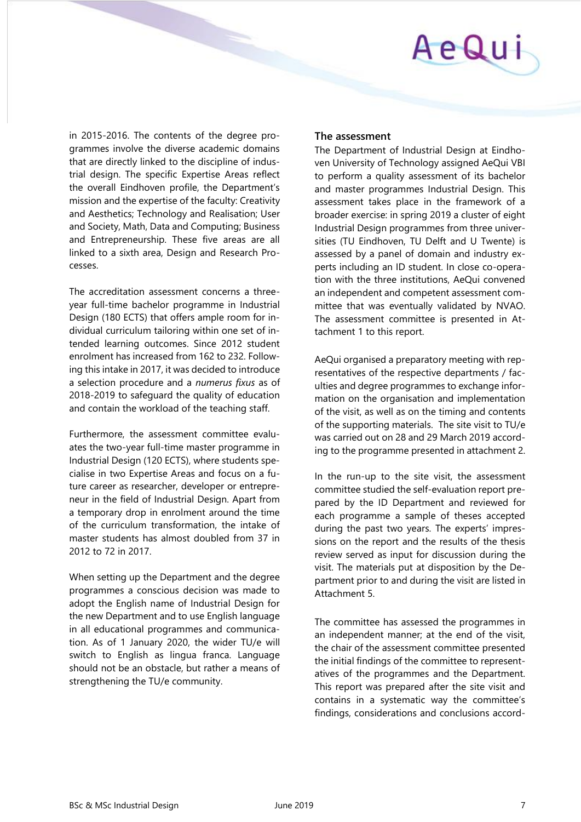in 2015-2016. The contents of the degree programmes involve the diverse academic domains that are directly linked to the discipline of industrial design. The specific Expertise Areas reflect the overall Eindhoven profile, the Department's mission and the expertise of the faculty: Creativity and Aesthetics; Technology and Realisation; User and Society, Math, Data and Computing; Business and Entrepreneurship. These five areas are all linked to a sixth area, Design and Research Processes.

The accreditation assessment concerns a threeyear full-time bachelor programme in Industrial Design (180 ECTS) that offers ample room for individual curriculum tailoring within one set of intended learning outcomes. Since 2012 student enrolment has increased from 162 to 232. Following this intake in 2017, it was decided to introduce a selection procedure and a *numerus fixus* as of 2018-2019 to safeguard the quality of education and contain the workload of the teaching staff.

Furthermore, the assessment committee evaluates the two-year full-time master programme in Industrial Design (120 ECTS), where students specialise in two Expertise Areas and focus on a future career as researcher, developer or entrepreneur in the field of Industrial Design. Apart from a temporary drop in enrolment around the time of the curriculum transformation, the intake of master students has almost doubled from 37 in 2012 to 72 in 2017.

When setting up the Department and the degree programmes a conscious decision was made to adopt the English name of Industrial Design for the new Department and to use English language in all educational programmes and communication. As of 1 January 2020, the wider TU/e will switch to English as lingua franca. Language should not be an obstacle, but rather a means of strengthening the TU/e community.

#### **The assessment**

The Department of Industrial Design at Eindhoven University of Technology assigned AeQui VBI to perform a quality assessment of its bachelor and master programmes Industrial Design. This assessment takes place in the framework of a broader exercise: in spring 2019 a cluster of eight Industrial Design programmes from three universities (TU Eindhoven, TU Delft and U Twente) is assessed by a panel of domain and industry experts including an ID student. In close co-operation with the three institutions, AeQui convened an independent and competent assessment committee that was eventually validated by NVAO. The assessment committee is presented in Attachment 1 to this report.

AeQui organised a preparatory meeting with representatives of the respective departments / faculties and degree programmes to exchange information on the organisation and implementation of the visit, as well as on the timing and contents of the supporting materials. The site visit to TU/e was carried out on 28 and 29 March 2019 according to the programme presented in attachment 2.

In the run-up to the site visit, the assessment committee studied the self-evaluation report prepared by the ID Department and reviewed for each programme a sample of theses accepted during the past two years. The experts' impressions on the report and the results of the thesis review served as input for discussion during the visit. The materials put at disposition by the Department prior to and during the visit are listed in Attachment 5.

The committee has assessed the programmes in an independent manner; at the end of the visit, the chair of the assessment committee presented the initial findings of the committee to representatives of the programmes and the Department. This report was prepared after the site visit and contains in a systematic way the committee's findings, considerations and conclusions accord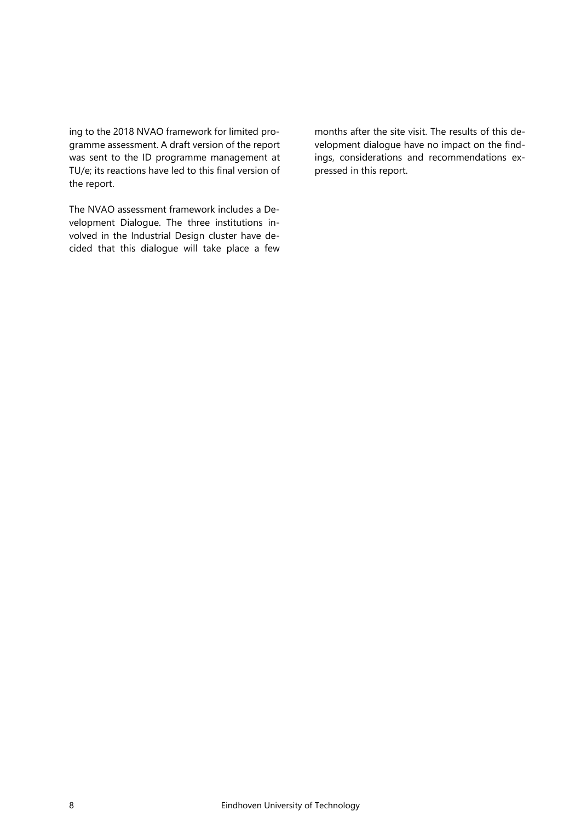ing to the 2018 NVAO framework for limited programme assessment. A draft version of the report was sent to the ID programme management at TU/e; its reactions have led to this final version of the report.

The NVAO assessment framework includes a Development Dialogue. The three institutions involved in the Industrial Design cluster have decided that this dialogue will take place a few months after the site visit. The results of this development dialogue have no impact on the findings, considerations and recommendations expressed in this report.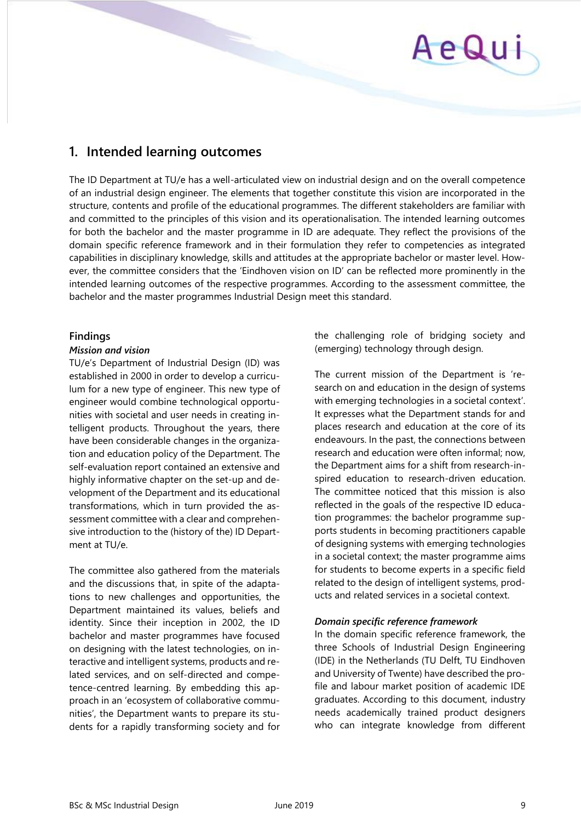# <span id="page-8-0"></span>**1. Intended learning outcomes**

The ID Department at TU/e has a well-articulated view on industrial design and on the overall competence of an industrial design engineer. The elements that together constitute this vision are incorporated in the structure, contents and profile of the educational programmes. The different stakeholders are familiar with and committed to the principles of this vision and its operationalisation. The intended learning outcomes for both the bachelor and the master programme in ID are adequate. They reflect the provisions of the domain specific reference framework and in their formulation they refer to competencies as integrated capabilities in disciplinary knowledge, skills and attitudes at the appropriate bachelor or master level. However, the committee considers that the 'Eindhoven vision on ID' can be reflected more prominently in the intended learning outcomes of the respective programmes. According to the assessment committee, the bachelor and the master programmes Industrial Design meet this standard.

#### **Findings**

#### *Mission and vision*

TU/e's Department of Industrial Design (ID) was established in 2000 in order to develop a curriculum for a new type of engineer. This new type of engineer would combine technological opportunities with societal and user needs in creating intelligent products. Throughout the years, there have been considerable changes in the organization and education policy of the Department. The self-evaluation report contained an extensive and highly informative chapter on the set-up and development of the Department and its educational transformations, which in turn provided the assessment committee with a clear and comprehensive introduction to the (history of the) ID Department at TU/e.

The committee also gathered from the materials and the discussions that, in spite of the adaptations to new challenges and opportunities, the Department maintained its values, beliefs and identity. Since their inception in 2002, the ID bachelor and master programmes have focused on designing with the latest technologies, on interactive and intelligent systems, products and related services, and on self-directed and competence-centred learning. By embedding this approach in an 'ecosystem of collaborative communities', the Department wants to prepare its students for a rapidly transforming society and for

the challenging role of bridging society and (emerging) technology through design.

The current mission of the Department is 'research on and education in the design of systems with emerging technologies in a societal context'. It expresses what the Department stands for and places research and education at the core of its endeavours. In the past, the connections between research and education were often informal; now, the Department aims for a shift from research-inspired education to research-driven education. The committee noticed that this mission is also reflected in the goals of the respective ID education programmes: the bachelor programme supports students in becoming practitioners capable of designing systems with emerging technologies in a societal context; the master programme aims for students to become experts in a specific field related to the design of intelligent systems, products and related services in a societal context.

#### *Domain specific reference framework*

In the domain specific reference framework, the three Schools of Industrial Design Engineering (IDE) in the Netherlands (TU Delft, TU Eindhoven and University of Twente) have described the profile and labour market position of academic IDE graduates. According to this document, industry needs academically trained product designers who can integrate knowledge from different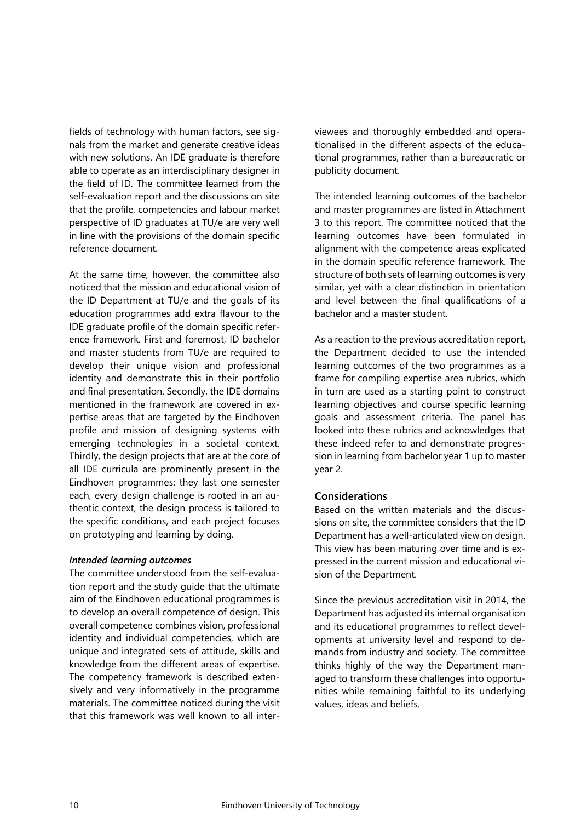fields of technology with human factors, see signals from the market and generate creative ideas with new solutions. An IDE graduate is therefore able to operate as an interdisciplinary designer in the field of ID. The committee learned from the self-evaluation report and the discussions on site that the profile, competencies and labour market perspective of ID graduates at TU/e are very well in line with the provisions of the domain specific reference document.

At the same time, however, the committee also noticed that the mission and educational vision of the ID Department at TU/e and the goals of its education programmes add extra flavour to the IDE graduate profile of the domain specific reference framework. First and foremost, ID bachelor and master students from TU/e are required to develop their unique vision and professional identity and demonstrate this in their portfolio and final presentation. Secondly, the IDE domains mentioned in the framework are covered in expertise areas that are targeted by the Eindhoven profile and mission of designing systems with emerging technologies in a societal context. Thirdly, the design projects that are at the core of all IDE curricula are prominently present in the Eindhoven programmes: they last one semester each, every design challenge is rooted in an authentic context, the design process is tailored to the specific conditions, and each project focuses on prototyping and learning by doing.

#### *Intended learning outcomes*

The committee understood from the self-evaluation report and the study guide that the ultimate aim of the Eindhoven educational programmes is to develop an overall competence of design. This overall competence combines vision, professional identity and individual competencies, which are unique and integrated sets of attitude, skills and knowledge from the different areas of expertise. The competency framework is described extensively and very informatively in the programme materials. The committee noticed during the visit that this framework was well known to all interviewees and thoroughly embedded and operationalised in the different aspects of the educational programmes, rather than a bureaucratic or publicity document.

The intended learning outcomes of the bachelor and master programmes are listed in Attachment 3 to this report. The committee noticed that the learning outcomes have been formulated in alignment with the competence areas explicated in the domain specific reference framework. The structure of both sets of learning outcomes is very similar, yet with a clear distinction in orientation and level between the final qualifications of a bachelor and a master student.

As a reaction to the previous accreditation report, the Department decided to use the intended learning outcomes of the two programmes as a frame for compiling expertise area rubrics, which in turn are used as a starting point to construct learning objectives and course specific learning goals and assessment criteria. The panel has looked into these rubrics and acknowledges that these indeed refer to and demonstrate progression in learning from bachelor year 1 up to master year 2.

#### **Considerations**

Based on the written materials and the discussions on site, the committee considers that the ID Department has a well-articulated view on design. This view has been maturing over time and is expressed in the current mission and educational vision of the Department.

Since the previous accreditation visit in 2014, the Department has adjusted its internal organisation and its educational programmes to reflect developments at university level and respond to demands from industry and society. The committee thinks highly of the way the Department managed to transform these challenges into opportunities while remaining faithful to its underlying values, ideas and beliefs.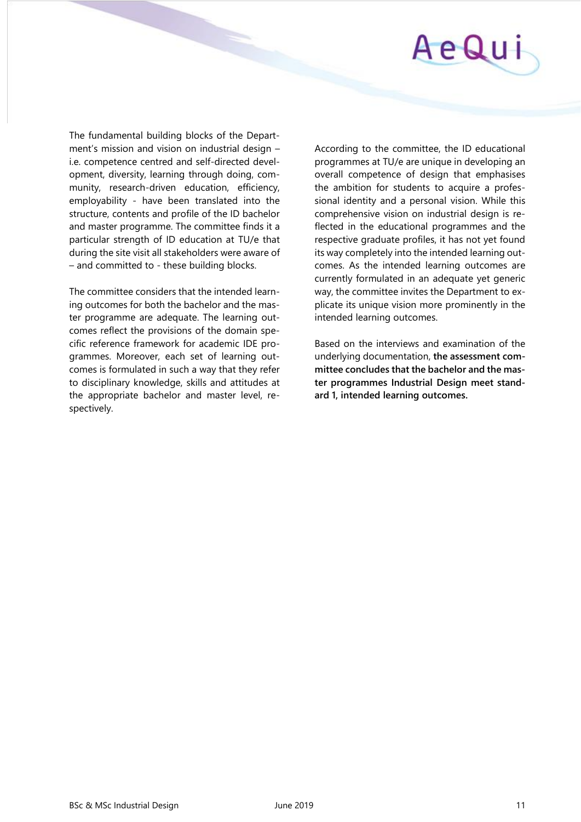

The fundamental building blocks of the Department's mission and vision on industrial design – i.e. competence centred and self-directed development, diversity, learning through doing, community, research-driven education, efficiency, employability - have been translated into the structure, contents and profile of the ID bachelor and master programme. The committee finds it a particular strength of ID education at TU/e that during the site visit all stakeholders were aware of – and committed to - these building blocks.

The committee considers that the intended learning outcomes for both the bachelor and the master programme are adequate. The learning outcomes reflect the provisions of the domain specific reference framework for academic IDE programmes. Moreover, each set of learning outcomes is formulated in such a way that they refer to disciplinary knowledge, skills and attitudes at the appropriate bachelor and master level, respectively.

According to the committee, the ID educational programmes at TU/e are unique in developing an overall competence of design that emphasises the ambition for students to acquire a professional identity and a personal vision. While this comprehensive vision on industrial design is reflected in the educational programmes and the respective graduate profiles, it has not yet found its way completely into the intended learning outcomes. As the intended learning outcomes are currently formulated in an adequate yet generic way, the committee invites the Department to explicate its unique vision more prominently in the intended learning outcomes.

Based on the interviews and examination of the underlying documentation, **the assessment committee concludes that the bachelor and the master programmes Industrial Design meet standard 1, intended learning outcomes.**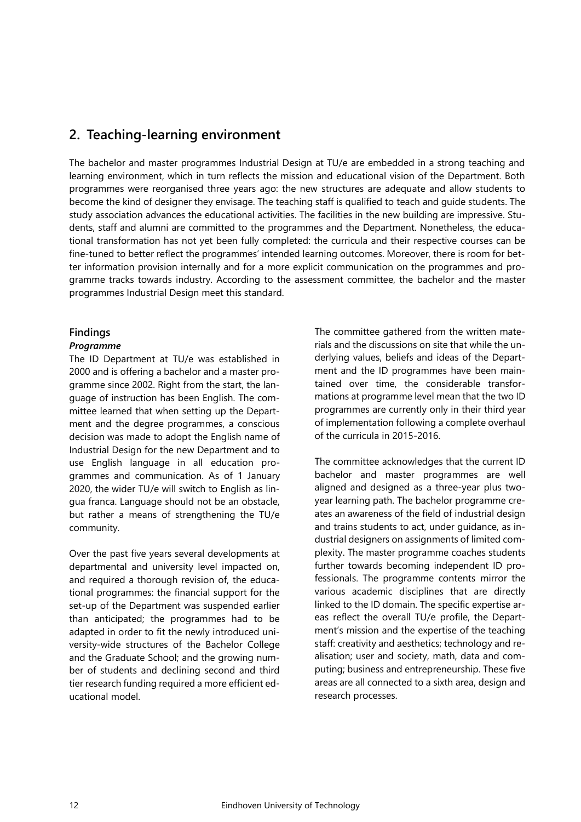### <span id="page-11-0"></span>**2. Teaching-learning environment**

The bachelor and master programmes Industrial Design at TU/e are embedded in a strong teaching and learning environment, which in turn reflects the mission and educational vision of the Department. Both programmes were reorganised three years ago: the new structures are adequate and allow students to become the kind of designer they envisage. The teaching staff is qualified to teach and guide students. The study association advances the educational activities. The facilities in the new building are impressive. Students, staff and alumni are committed to the programmes and the Department. Nonetheless, the educational transformation has not yet been fully completed: the curricula and their respective courses can be fine-tuned to better reflect the programmes' intended learning outcomes. Moreover, there is room for better information provision internally and for a more explicit communication on the programmes and programme tracks towards industry. According to the assessment committee, the bachelor and the master programmes Industrial Design meet this standard.

#### **Findings**

#### *Programme*

The ID Department at TU/e was established in 2000 and is offering a bachelor and a master programme since 2002. Right from the start, the language of instruction has been English. The committee learned that when setting up the Department and the degree programmes, a conscious decision was made to adopt the English name of Industrial Design for the new Department and to use English language in all education programmes and communication. As of 1 January 2020, the wider TU/e will switch to English as lingua franca. Language should not be an obstacle, but rather a means of strengthening the TU/e community.

Over the past five years several developments at departmental and university level impacted on, and required a thorough revision of, the educational programmes: the financial support for the set-up of the Department was suspended earlier than anticipated; the programmes had to be adapted in order to fit the newly introduced university-wide structures of the Bachelor College and the Graduate School; and the growing number of students and declining second and third tier research funding required a more efficient educational model.

The committee gathered from the written materials and the discussions on site that while the underlying values, beliefs and ideas of the Department and the ID programmes have been maintained over time, the considerable transformations at programme level mean that the two ID programmes are currently only in their third year of implementation following a complete overhaul of the curricula in 2015-2016.

The committee acknowledges that the current ID bachelor and master programmes are well aligned and designed as a three-year plus twoyear learning path. The bachelor programme creates an awareness of the field of industrial design and trains students to act, under guidance, as industrial designers on assignments of limited complexity. The master programme coaches students further towards becoming independent ID professionals. The programme contents mirror the various academic disciplines that are directly linked to the ID domain. The specific expertise areas reflect the overall TU/e profile, the Department's mission and the expertise of the teaching staff: creativity and aesthetics; technology and realisation; user and society, math, data and computing; business and entrepreneurship. These five areas are all connected to a sixth area, design and research processes.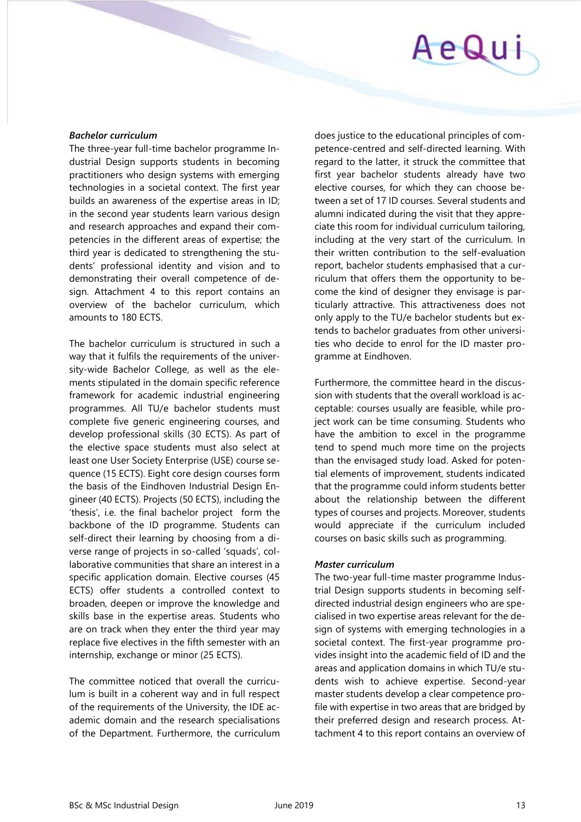#### *Bachelor curriculum*

The three-year full-time bachelor programme Industrial Design supports students in becoming practitioners who design systems with emerging technologies in a societal context. The first year builds an awareness of the expertise areas in ID; in the second year students learn various design and research approaches and expand their competencies in the different areas of expertise; the third year is dedicated to strengthening the students' professional identity and vision and to demonstrating their overall competence of design. Attachment 4 to this report contains an overview of the bachelor curriculum, which amounts to 180 ECTS.

The bachelor curriculum is structured in such a way that it fulfils the requirements of the university-wide Bachelor College, as well as the elements stipulated in the domain specific reference framework for academic industrial engineering programmes. All TU/e bachelor students must complete five generic engineering courses, and develop professional skills (30 ECTS). As part of the elective space students must also select at least one User Society Enterprise (USE) course sequence (15 ECTS). Eight core design courses form the basis of the Eindhoven Industrial Design Engineer (40 ECTS). Projects (50 ECTS), including the 'thesis', i.e. the final bachelor project form the backbone of the ID programme. Students can self-direct their learning by choosing from a diverse range of projects in so-called 'squads', collaborative communities that share an interest in a specific application domain. Elective courses (45 ECTS) offer students a controlled context to broaden, deepen or improve the knowledge and skills base in the expertise areas. Students who are on track when they enter the third year may replace five electives in the fifth semester with an internship, exchange or minor (25 ECTS).

The committee noticed that overall the curriculum is built in a coherent way and in full respect of the requirements of the University, the IDE academic domain and the research specialisations of the Department. Furthermore, the curriculum

does justice to the educational principles of competence-centred and self-directed learning. With regard to the latter, it struck the committee that first year bachelor students already have two elective courses, for which they can choose between a set of 17 ID courses. Several students and alumni indicated during the visit that they appreciate this room for individual curriculum tailoring, including at the very start of the curriculum. In their written contribution to the self-evaluation report, bachelor students emphasised that a curriculum that offers them the opportunity to become the kind of designer they envisage is particularly attractive. This attractiveness does not only apply to the TU/e bachelor students but extends to bachelor graduates from other universities who decide to enrol for the ID master programme at Eindhoven.

Furthermore, the committee heard in the discussion with students that the overall workload is acceptable: courses usually are feasible, while project work can be time consuming. Students who have the ambition to excel in the programme tend to spend much more time on the projects than the envisaged study load. Asked for potential elements of improvement, students indicated that the programme could inform students better about the relationship between the different types of courses and projects. Moreover, students would appreciate if the curriculum included courses on basic skills such as programming.

#### *Master curriculum*

The two-year full-time master programme Industrial Design supports students in becoming selfdirected industrial design engineers who are specialised in two expertise areas relevant for the design of systems with emerging technologies in a societal context. The first-year programme provides insight into the academic field of ID and the areas and application domains in which TU/e students wish to achieve expertise. Second-year master students develop a clear competence profile with expertise in two areas that are bridged by their preferred design and research process. Attachment 4 to this report contains an overview of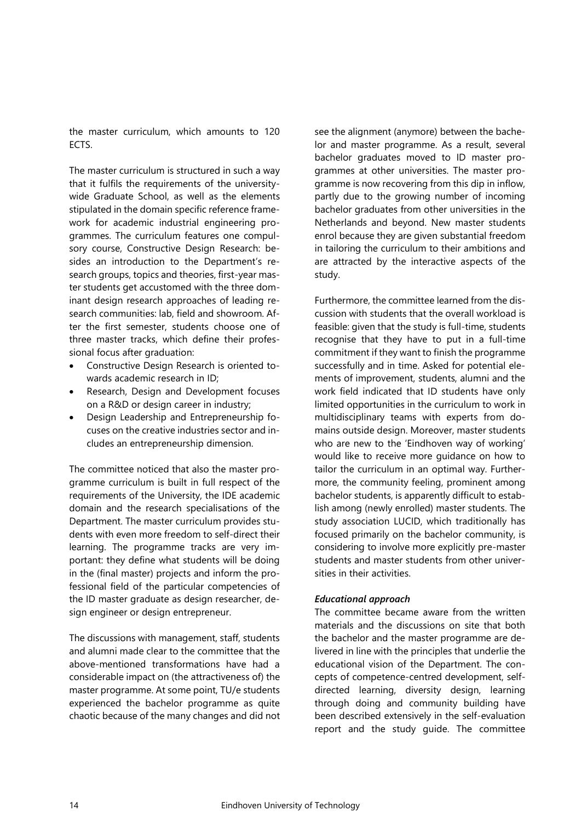the master curriculum, which amounts to 120 ECTS.

The master curriculum is structured in such a way that it fulfils the requirements of the universitywide Graduate School, as well as the elements stipulated in the domain specific reference framework for academic industrial engineering programmes. The curriculum features one compulsory course, Constructive Design Research: besides an introduction to the Department's research groups, topics and theories, first-year master students get accustomed with the three dominant design research approaches of leading research communities: lab, field and showroom. After the first semester, students choose one of three master tracks, which define their professional focus after graduation:

- Constructive Design Research is oriented towards academic research in ID;
- Research, Design and Development focuses on a R&D or design career in industry;
- Design Leadership and Entrepreneurship focuses on the creative industries sector and includes an entrepreneurship dimension.

The committee noticed that also the master programme curriculum is built in full respect of the requirements of the University, the IDE academic domain and the research specialisations of the Department. The master curriculum provides students with even more freedom to self-direct their learning. The programme tracks are very important: they define what students will be doing in the (final master) projects and inform the professional field of the particular competencies of the ID master graduate as design researcher, design engineer or design entrepreneur.

The discussions with management, staff, students and alumni made clear to the committee that the above-mentioned transformations have had a considerable impact on (the attractiveness of) the master programme. At some point, TU/e students experienced the bachelor programme as quite chaotic because of the many changes and did not see the alignment (anymore) between the bachelor and master programme. As a result, several bachelor graduates moved to ID master programmes at other universities. The master programme is now recovering from this dip in inflow, partly due to the growing number of incoming bachelor graduates from other universities in the Netherlands and beyond. New master students enrol because they are given substantial freedom in tailoring the curriculum to their ambitions and are attracted by the interactive aspects of the study.

Furthermore, the committee learned from the discussion with students that the overall workload is feasible: given that the study is full-time, students recognise that they have to put in a full-time commitment if they want to finish the programme successfully and in time. Asked for potential elements of improvement, students, alumni and the work field indicated that ID students have only limited opportunities in the curriculum to work in multidisciplinary teams with experts from domains outside design. Moreover, master students who are new to the 'Eindhoven way of working' would like to receive more guidance on how to tailor the curriculum in an optimal way. Furthermore, the community feeling, prominent among bachelor students, is apparently difficult to establish among (newly enrolled) master students. The study association LUCID, which traditionally has focused primarily on the bachelor community, is considering to involve more explicitly pre-master students and master students from other universities in their activities.

#### *Educational approach*

The committee became aware from the written materials and the discussions on site that both the bachelor and the master programme are delivered in line with the principles that underlie the educational vision of the Department. The concepts of competence-centred development, selfdirected learning, diversity design, learning through doing and community building have been described extensively in the self-evaluation report and the study guide. The committee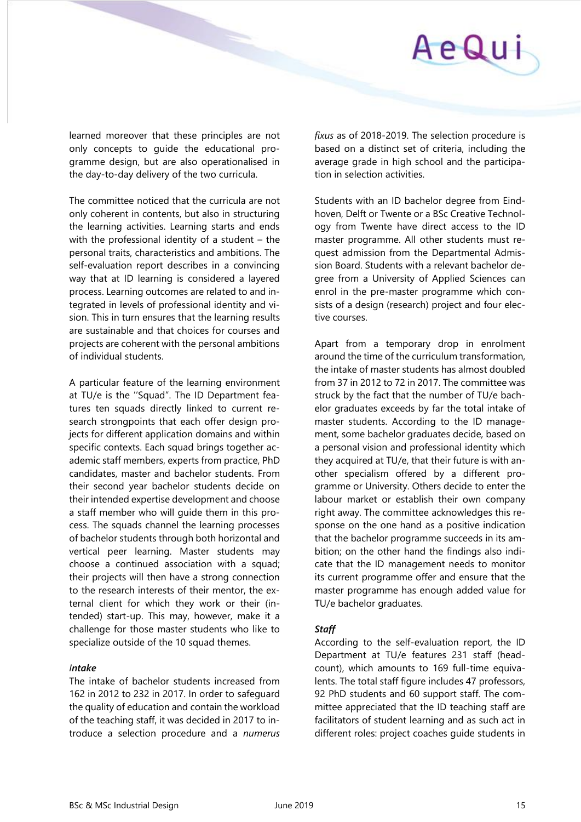learned moreover that these principles are not only concepts to guide the educational programme design, but are also operationalised in the day-to-day delivery of the two curricula.

The committee noticed that the curricula are not only coherent in contents, but also in structuring the learning activities. Learning starts and ends with the professional identity of a student – the personal traits, characteristics and ambitions. The self-evaluation report describes in a convincing way that at ID learning is considered a layered process. Learning outcomes are related to and integrated in levels of professional identity and vision. This in turn ensures that the learning results are sustainable and that choices for courses and projects are coherent with the personal ambitions of individual students.

A particular feature of the learning environment at TU/e is the ''Squad". The ID Department features ten squads directly linked to current research strongpoints that each offer design projects for different application domains and within specific contexts. Each squad brings together academic staff members, experts from practice, PhD candidates, master and bachelor students. From their second year bachelor students decide on their intended expertise development and choose a staff member who will guide them in this process. The squads channel the learning processes of bachelor students through both horizontal and vertical peer learning. Master students may choose a continued association with a squad; their projects will then have a strong connection to the research interests of their mentor, the external client for which they work or their (intended) start-up. This may, however, make it a challenge for those master students who like to specialize outside of the 10 squad themes.

#### *Intake*

The intake of bachelor students increased from 162 in 2012 to 232 in 2017. In order to safeguard the quality of education and contain the workload of the teaching staff, it was decided in 2017 to introduce a selection procedure and a *numerus* 

*fixus* as of 2018-2019. The selection procedure is based on a distinct set of criteria, including the average grade in high school and the participation in selection activities.

Students with an ID bachelor degree from Eindhoven, Delft or Twente or a BSc Creative Technology from Twente have direct access to the ID master programme. All other students must request admission from the Departmental Admission Board. Students with a relevant bachelor degree from a University of Applied Sciences can enrol in the pre-master programme which consists of a design (research) project and four elective courses.

Apart from a temporary drop in enrolment around the time of the curriculum transformation, the intake of master students has almost doubled from 37 in 2012 to 72 in 2017. The committee was struck by the fact that the number of TU/e bachelor graduates exceeds by far the total intake of master students. According to the ID management, some bachelor graduates decide, based on a personal vision and professional identity which they acquired at TU/e, that their future is with another specialism offered by a different programme or University. Others decide to enter the labour market or establish their own company right away. The committee acknowledges this response on the one hand as a positive indication that the bachelor programme succeeds in its ambition; on the other hand the findings also indicate that the ID management needs to monitor its current programme offer and ensure that the master programme has enough added value for TU/e bachelor graduates.

#### *Staff*

According to the self-evaluation report, the ID Department at TU/e features 231 staff (headcount), which amounts to 169 full-time equivalents. The total staff figure includes 47 professors, 92 PhD students and 60 support staff. The committee appreciated that the ID teaching staff are facilitators of student learning and as such act in different roles: project coaches guide students in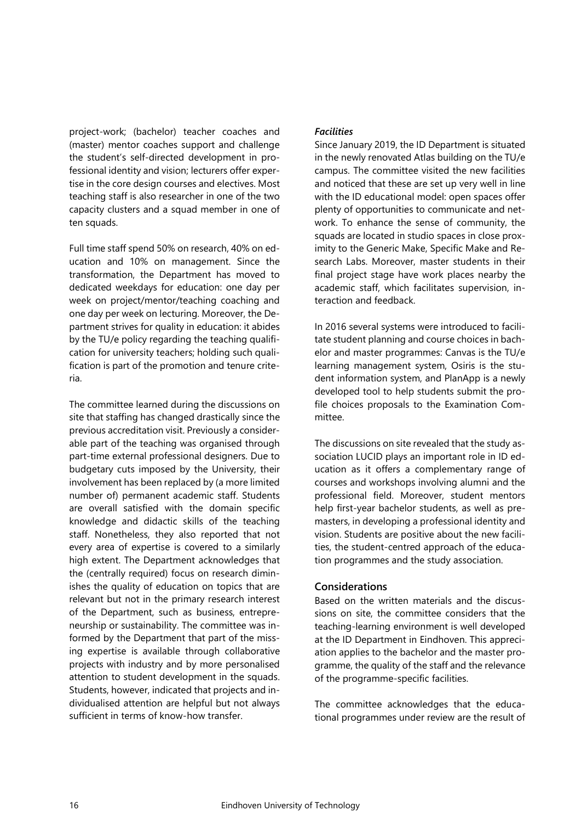project-work; (bachelor) teacher coaches and (master) mentor coaches support and challenge the student's self-directed development in professional identity and vision; lecturers offer expertise in the core design courses and electives. Most teaching staff is also researcher in one of the two capacity clusters and a squad member in one of ten squads.

Full time staff spend 50% on research, 40% on education and 10% on management. Since the transformation, the Department has moved to dedicated weekdays for education: one day per week on project/mentor/teaching coaching and one day per week on lecturing. Moreover, the Department strives for quality in education: it abides by the TU/e policy regarding the teaching qualification for university teachers; holding such qualification is part of the promotion and tenure criteria.

The committee learned during the discussions on site that staffing has changed drastically since the previous accreditation visit. Previously a considerable part of the teaching was organised through part-time external professional designers. Due to budgetary cuts imposed by the University, their involvement has been replaced by (a more limited number of) permanent academic staff. Students are overall satisfied with the domain specific knowledge and didactic skills of the teaching staff. Nonetheless, they also reported that not every area of expertise is covered to a similarly high extent. The Department acknowledges that the (centrally required) focus on research diminishes the quality of education on topics that are relevant but not in the primary research interest of the Department, such as business, entrepreneurship or sustainability. The committee was informed by the Department that part of the missing expertise is available through collaborative projects with industry and by more personalised attention to student development in the squads. Students, however, indicated that projects and individualised attention are helpful but not always sufficient in terms of know-how transfer.

#### *Facilities*

Since January 2019, the ID Department is situated in the newly renovated Atlas building on the TU/e campus. The committee visited the new facilities and noticed that these are set up very well in line with the ID educational model: open spaces offer plenty of opportunities to communicate and network. To enhance the sense of community, the squads are located in studio spaces in close proximity to the Generic Make, Specific Make and Research Labs. Moreover, master students in their final project stage have work places nearby the academic staff, which facilitates supervision, interaction and feedback.

In 2016 several systems were introduced to facilitate student planning and course choices in bachelor and master programmes: Canvas is the TU/e learning management system, Osiris is the student information system, and PlanApp is a newly developed tool to help students submit the profile choices proposals to the Examination Committee.

The discussions on site revealed that the study association LUCID plays an important role in ID education as it offers a complementary range of courses and workshops involving alumni and the professional field. Moreover, student mentors help first-year bachelor students, as well as premasters, in developing a professional identity and vision. Students are positive about the new facilities, the student-centred approach of the education programmes and the study association.

#### **Considerations**

Based on the written materials and the discussions on site, the committee considers that the teaching-learning environment is well developed at the ID Department in Eindhoven. This appreciation applies to the bachelor and the master programme, the quality of the staff and the relevance of the programme-specific facilities.

The committee acknowledges that the educational programmes under review are the result of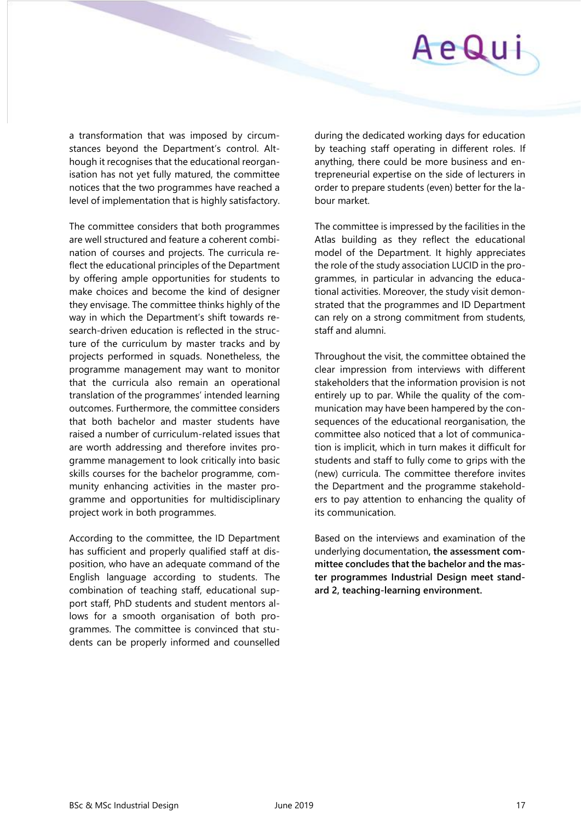

a transformation that was imposed by circumstances beyond the Department's control. Although it recognises that the educational reorganisation has not yet fully matured, the committee notices that the two programmes have reached a level of implementation that is highly satisfactory.

The committee considers that both programmes are well structured and feature a coherent combination of courses and projects. The curricula reflect the educational principles of the Department by offering ample opportunities for students to make choices and become the kind of designer they envisage. The committee thinks highly of the way in which the Department's shift towards research-driven education is reflected in the structure of the curriculum by master tracks and by projects performed in squads. Nonetheless, the programme management may want to monitor that the curricula also remain an operational translation of the programmes' intended learning outcomes. Furthermore, the committee considers that both bachelor and master students have raised a number of curriculum-related issues that are worth addressing and therefore invites programme management to look critically into basic skills courses for the bachelor programme, community enhancing activities in the master programme and opportunities for multidisciplinary project work in both programmes.

According to the committee, the ID Department has sufficient and properly qualified staff at disposition, who have an adequate command of the English language according to students. The combination of teaching staff, educational support staff, PhD students and student mentors allows for a smooth organisation of both programmes. The committee is convinced that students can be properly informed and counselled

during the dedicated working days for education by teaching staff operating in different roles. If anything, there could be more business and entrepreneurial expertise on the side of lecturers in order to prepare students (even) better for the labour market.

The committee is impressed by the facilities in the Atlas building as they reflect the educational model of the Department. It highly appreciates the role of the study association LUCID in the programmes, in particular in advancing the educational activities. Moreover, the study visit demonstrated that the programmes and ID Department can rely on a strong commitment from students, staff and alumni.

Throughout the visit, the committee obtained the clear impression from interviews with different stakeholders that the information provision is not entirely up to par. While the quality of the communication may have been hampered by the consequences of the educational reorganisation, the committee also noticed that a lot of communication is implicit, which in turn makes it difficult for students and staff to fully come to grips with the (new) curricula. The committee therefore invites the Department and the programme stakeholders to pay attention to enhancing the quality of its communication.

Based on the interviews and examination of the underlying documentation**, the assessment committee concludes that the bachelor and the master programmes Industrial Design meet standard 2, teaching-learning environment.**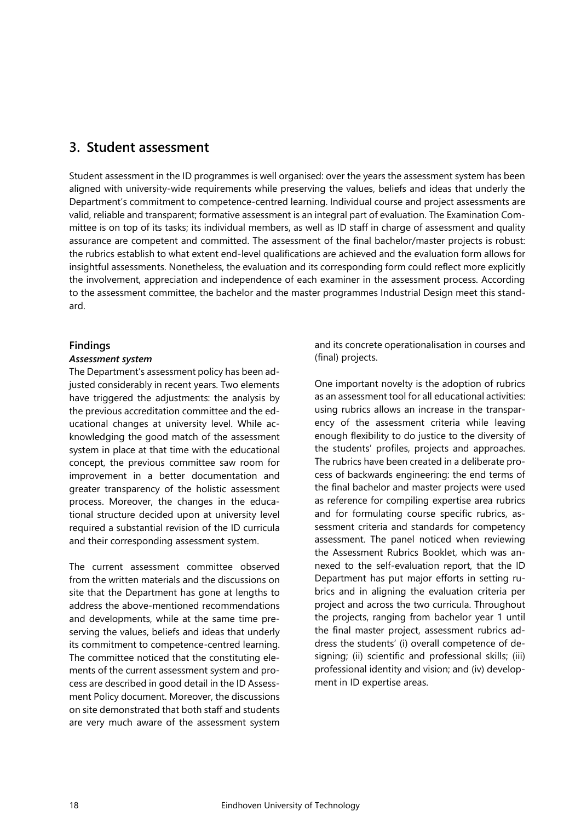### <span id="page-17-0"></span>**3. Student assessment**

Student assessment in the ID programmes is well organised: over the years the assessment system has been aligned with university-wide requirements while preserving the values, beliefs and ideas that underly the Department's commitment to competence-centred learning. Individual course and project assessments are valid, reliable and transparent; formative assessment is an integral part of evaluation. The Examination Committee is on top of its tasks; its individual members, as well as ID staff in charge of assessment and quality assurance are competent and committed. The assessment of the final bachelor/master projects is robust: the rubrics establish to what extent end-level qualifications are achieved and the evaluation form allows for insightful assessments. Nonetheless, the evaluation and its corresponding form could reflect more explicitly the involvement, appreciation and independence of each examiner in the assessment process. According to the assessment committee, the bachelor and the master programmes Industrial Design meet this standard.

#### **Findings**

#### *Assessment system*

The Department's assessment policy has been adjusted considerably in recent years. Two elements have triggered the adjustments: the analysis by the previous accreditation committee and the educational changes at university level. While acknowledging the good match of the assessment system in place at that time with the educational concept, the previous committee saw room for improvement in a better documentation and greater transparency of the holistic assessment process. Moreover, the changes in the educational structure decided upon at university level required a substantial revision of the ID curricula and their corresponding assessment system.

The current assessment committee observed from the written materials and the discussions on site that the Department has gone at lengths to address the above-mentioned recommendations and developments, while at the same time preserving the values, beliefs and ideas that underly its commitment to competence-centred learning. The committee noticed that the constituting elements of the current assessment system and process are described in good detail in the ID Assessment Policy document. Moreover, the discussions on site demonstrated that both staff and students are very much aware of the assessment system

and its concrete operationalisation in courses and (final) projects.

One important novelty is the adoption of rubrics as an assessment tool for all educational activities: using rubrics allows an increase in the transparency of the assessment criteria while leaving enough flexibility to do justice to the diversity of the students' profiles, projects and approaches. The rubrics have been created in a deliberate process of backwards engineering: the end terms of the final bachelor and master projects were used as reference for compiling expertise area rubrics and for formulating course specific rubrics, assessment criteria and standards for competency assessment. The panel noticed when reviewing the Assessment Rubrics Booklet, which was annexed to the self-evaluation report, that the ID Department has put major efforts in setting rubrics and in aligning the evaluation criteria per project and across the two curricula. Throughout the projects, ranging from bachelor year 1 until the final master project, assessment rubrics address the students' (i) overall competence of designing; (ii) scientific and professional skills; (iii) professional identity and vision; and (iv) development in ID expertise areas.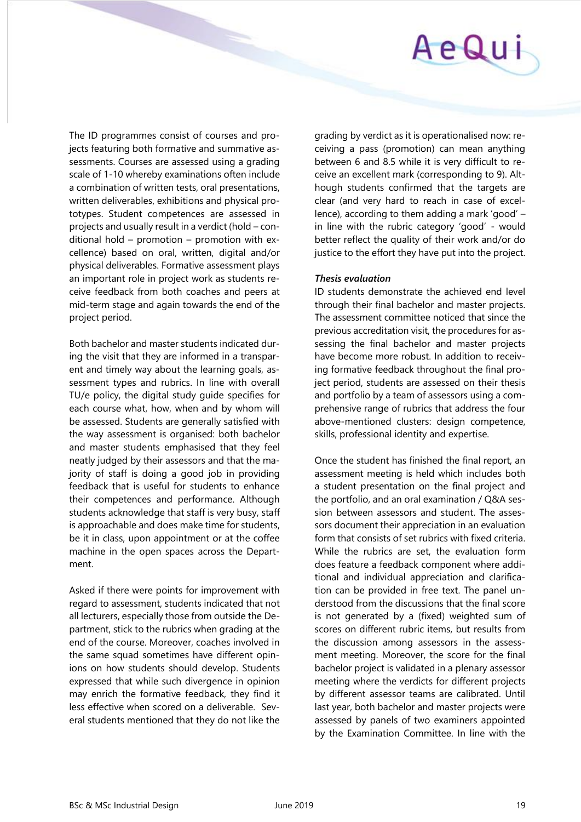

The ID programmes consist of courses and projects featuring both formative and summative assessments. Courses are assessed using a grading scale of 1-10 whereby examinations often include a combination of written tests, oral presentations, written deliverables, exhibitions and physical prototypes. Student competences are assessed in projects and usually result in a verdict (hold – conditional hold – promotion – promotion with excellence) based on oral, written, digital and/or physical deliverables. Formative assessment plays an important role in project work as students receive feedback from both coaches and peers at mid-term stage and again towards the end of the project period.

Both bachelor and master students indicated during the visit that they are informed in a transparent and timely way about the learning goals, assessment types and rubrics. In line with overall TU/e policy, the digital study guide specifies for each course what, how, when and by whom will be assessed. Students are generally satisfied with the way assessment is organised: both bachelor and master students emphasised that they feel neatly judged by their assessors and that the majority of staff is doing a good job in providing feedback that is useful for students to enhance their competences and performance. Although students acknowledge that staff is very busy, staff is approachable and does make time for students, be it in class, upon appointment or at the coffee machine in the open spaces across the Department.

Asked if there were points for improvement with regard to assessment, students indicated that not all lecturers, especially those from outside the Department, stick to the rubrics when grading at the end of the course. Moreover, coaches involved in the same squad sometimes have different opinions on how students should develop. Students expressed that while such divergence in opinion may enrich the formative feedback, they find it less effective when scored on a deliverable. Several students mentioned that they do not like the

grading by verdict as it is operationalised now: receiving a pass (promotion) can mean anything between 6 and 8.5 while it is very difficult to receive an excellent mark (corresponding to 9). Although students confirmed that the targets are clear (and very hard to reach in case of excellence), according to them adding a mark 'good' – in line with the rubric category 'good' - would better reflect the quality of their work and/or do justice to the effort they have put into the project.

#### *Thesis evaluation*

ID students demonstrate the achieved end level through their final bachelor and master projects. The assessment committee noticed that since the previous accreditation visit, the procedures for assessing the final bachelor and master projects have become more robust. In addition to receiving formative feedback throughout the final project period, students are assessed on their thesis and portfolio by a team of assessors using a comprehensive range of rubrics that address the four above-mentioned clusters: design competence, skills, professional identity and expertise.

Once the student has finished the final report, an assessment meeting is held which includes both a student presentation on the final project and the portfolio, and an oral examination / Q&A session between assessors and student. The assessors document their appreciation in an evaluation form that consists of set rubrics with fixed criteria. While the rubrics are set, the evaluation form does feature a feedback component where additional and individual appreciation and clarification can be provided in free text. The panel understood from the discussions that the final score is not generated by a (fixed) weighted sum of scores on different rubric items, but results from the discussion among assessors in the assessment meeting. Moreover, the score for the final bachelor project is validated in a plenary assessor meeting where the verdicts for different projects by different assessor teams are calibrated. Until last year, both bachelor and master projects were assessed by panels of two examiners appointed by the Examination Committee. In line with the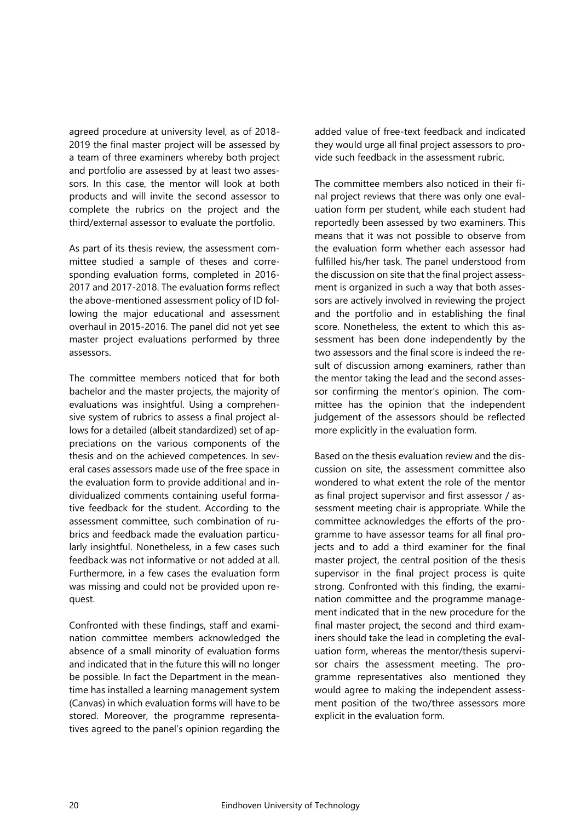agreed procedure at university level, as of 2018- 2019 the final master project will be assessed by a team of three examiners whereby both project and portfolio are assessed by at least two assessors. In this case, the mentor will look at both products and will invite the second assessor to complete the rubrics on the project and the third/external assessor to evaluate the portfolio.

As part of its thesis review, the assessment committee studied a sample of theses and corresponding evaluation forms, completed in 2016- 2017 and 2017-2018. The evaluation forms reflect the above-mentioned assessment policy of ID following the major educational and assessment overhaul in 2015-2016. The panel did not yet see master project evaluations performed by three assessors.

The committee members noticed that for both bachelor and the master projects, the majority of evaluations was insightful. Using a comprehensive system of rubrics to assess a final project allows for a detailed (albeit standardized) set of appreciations on the various components of the thesis and on the achieved competences. In several cases assessors made use of the free space in the evaluation form to provide additional and individualized comments containing useful formative feedback for the student. According to the assessment committee, such combination of rubrics and feedback made the evaluation particularly insightful. Nonetheless, in a few cases such feedback was not informative or not added at all. Furthermore, in a few cases the evaluation form was missing and could not be provided upon request.

Confronted with these findings, staff and examination committee members acknowledged the absence of a small minority of evaluation forms and indicated that in the future this will no longer be possible. In fact the Department in the meantime has installed a learning management system (Canvas) in which evaluation forms will have to be stored. Moreover, the programme representatives agreed to the panel's opinion regarding the

added value of free-text feedback and indicated they would urge all final project assessors to provide such feedback in the assessment rubric.

The committee members also noticed in their final project reviews that there was only one evaluation form per student, while each student had reportedly been assessed by two examiners. This means that it was not possible to observe from the evaluation form whether each assessor had fulfilled his/her task. The panel understood from the discussion on site that the final project assessment is organized in such a way that both assessors are actively involved in reviewing the project and the portfolio and in establishing the final score. Nonetheless, the extent to which this assessment has been done independently by the two assessors and the final score is indeed the result of discussion among examiners, rather than the mentor taking the lead and the second assessor confirming the mentor's opinion. The committee has the opinion that the independent judgement of the assessors should be reflected more explicitly in the evaluation form.

Based on the thesis evaluation review and the discussion on site, the assessment committee also wondered to what extent the role of the mentor as final project supervisor and first assessor / assessment meeting chair is appropriate. While the committee acknowledges the efforts of the programme to have assessor teams for all final projects and to add a third examiner for the final master project, the central position of the thesis supervisor in the final project process is quite strong. Confronted with this finding, the examination committee and the programme management indicated that in the new procedure for the final master project, the second and third examiners should take the lead in completing the evaluation form, whereas the mentor/thesis supervisor chairs the assessment meeting. The programme representatives also mentioned they would agree to making the independent assessment position of the two/three assessors more explicit in the evaluation form.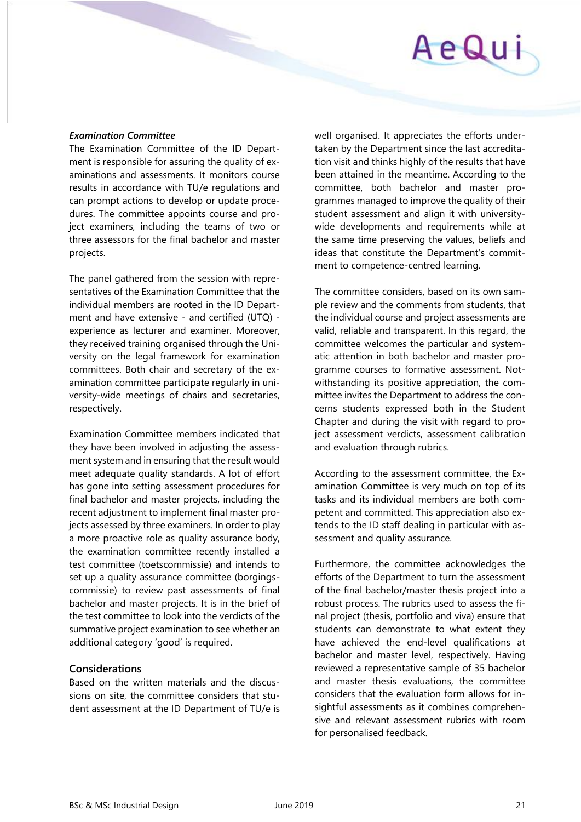#### *Examination Committee*

The Examination Committee of the ID Department is responsible for assuring the quality of examinations and assessments. It monitors course results in accordance with TU/e regulations and can prompt actions to develop or update procedures. The committee appoints course and project examiners, including the teams of two or three assessors for the final bachelor and master projects.

The panel gathered from the session with representatives of the Examination Committee that the individual members are rooted in the ID Department and have extensive - and certified (UTQ) experience as lecturer and examiner. Moreover, they received training organised through the University on the legal framework for examination committees. Both chair and secretary of the examination committee participate regularly in university-wide meetings of chairs and secretaries, respectively.

Examination Committee members indicated that they have been involved in adjusting the assessment system and in ensuring that the result would meet adequate quality standards. A lot of effort has gone into setting assessment procedures for final bachelor and master projects, including the recent adjustment to implement final master projects assessed by three examiners. In order to play a more proactive role as quality assurance body, the examination committee recently installed a test committee (toetscommissie) and intends to set up a quality assurance committee (borgingscommissie) to review past assessments of final bachelor and master projects. It is in the brief of the test committee to look into the verdicts of the summative project examination to see whether an additional category 'good' is required.

#### **Considerations**

Based on the written materials and the discussions on site, the committee considers that student assessment at the ID Department of TU/e is well organised. It appreciates the efforts undertaken by the Department since the last accreditation visit and thinks highly of the results that have been attained in the meantime. According to the committee, both bachelor and master programmes managed to improve the quality of their student assessment and align it with universitywide developments and requirements while at the same time preserving the values, beliefs and ideas that constitute the Department's commitment to competence-centred learning.

The committee considers, based on its own sample review and the comments from students, that the individual course and project assessments are valid, reliable and transparent. In this regard, the committee welcomes the particular and systematic attention in both bachelor and master programme courses to formative assessment. Notwithstanding its positive appreciation, the committee invites the Department to address the concerns students expressed both in the Student Chapter and during the visit with regard to project assessment verdicts, assessment calibration and evaluation through rubrics.

According to the assessment committee, the Examination Committee is very much on top of its tasks and its individual members are both competent and committed. This appreciation also extends to the ID staff dealing in particular with assessment and quality assurance.

Furthermore, the committee acknowledges the efforts of the Department to turn the assessment of the final bachelor/master thesis project into a robust process. The rubrics used to assess the final project (thesis, portfolio and viva) ensure that students can demonstrate to what extent they have achieved the end-level qualifications at bachelor and master level, respectively. Having reviewed a representative sample of 35 bachelor and master thesis evaluations, the committee considers that the evaluation form allows for insightful assessments as it combines comprehensive and relevant assessment rubrics with room for personalised feedback.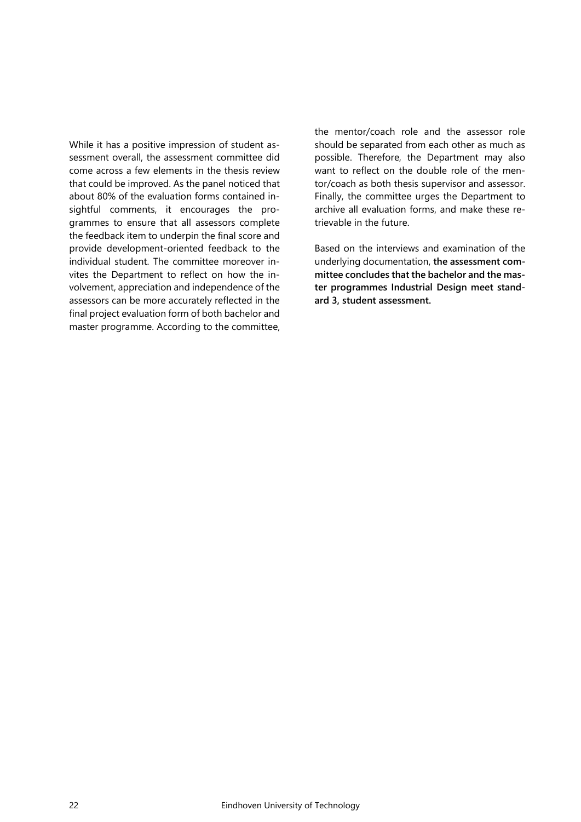While it has a positive impression of student assessment overall, the assessment committee did come across a few elements in the thesis review that could be improved. As the panel noticed that about 80% of the evaluation forms contained insightful comments, it encourages the programmes to ensure that all assessors complete the feedback item to underpin the final score and provide development-oriented feedback to the individual student. The committee moreover invites the Department to reflect on how the involvement, appreciation and independence of the assessors can be more accurately reflected in the final project evaluation form of both bachelor and master programme. According to the committee, the mentor/coach role and the assessor role should be separated from each other as much as possible. Therefore, the Department may also want to reflect on the double role of the mentor/coach as both thesis supervisor and assessor. Finally, the committee urges the Department to archive all evaluation forms, and make these retrievable in the future.

Based on the interviews and examination of the underlying documentation, **the assessment committee concludes that the bachelor and the master programmes Industrial Design meet standard 3, student assessment.**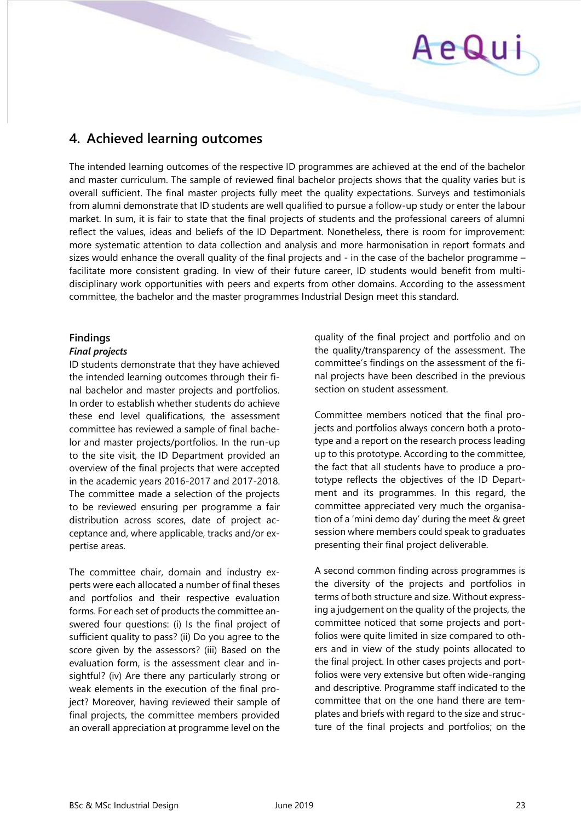# <span id="page-22-0"></span>**4. Achieved learning outcomes**

The intended learning outcomes of the respective ID programmes are achieved at the end of the bachelor and master curriculum. The sample of reviewed final bachelor projects shows that the quality varies but is overall sufficient. The final master projects fully meet the quality expectations. Surveys and testimonials from alumni demonstrate that ID students are well qualified to pursue a follow-up study or enter the labour market. In sum, it is fair to state that the final projects of students and the professional careers of alumni reflect the values, ideas and beliefs of the ID Department. Nonetheless, there is room for improvement: more systematic attention to data collection and analysis and more harmonisation in report formats and sizes would enhance the overall quality of the final projects and - in the case of the bachelor programme – facilitate more consistent grading. In view of their future career, ID students would benefit from multidisciplinary work opportunities with peers and experts from other domains. According to the assessment committee, the bachelor and the master programmes Industrial Design meet this standard.

#### **Findings**

#### *Final projects*

ID students demonstrate that they have achieved the intended learning outcomes through their final bachelor and master projects and portfolios. In order to establish whether students do achieve these end level qualifications, the assessment committee has reviewed a sample of final bachelor and master projects/portfolios. In the run-up to the site visit, the ID Department provided an overview of the final projects that were accepted in the academic years 2016-2017 and 2017-2018. The committee made a selection of the projects to be reviewed ensuring per programme a fair distribution across scores, date of project acceptance and, where applicable, tracks and/or expertise areas.

The committee chair, domain and industry experts were each allocated a number of final theses and portfolios and their respective evaluation forms. For each set of products the committee answered four questions: (i) Is the final project of sufficient quality to pass? (ii) Do you agree to the score given by the assessors? (iii) Based on the evaluation form, is the assessment clear and insightful? (iv) Are there any particularly strong or weak elements in the execution of the final project? Moreover, having reviewed their sample of final projects, the committee members provided an overall appreciation at programme level on the

quality of the final project and portfolio and on the quality/transparency of the assessment. The committee's findings on the assessment of the final projects have been described in the previous section on student assessment.

Committee members noticed that the final projects and portfolios always concern both a prototype and a report on the research process leading up to this prototype. According to the committee, the fact that all students have to produce a prototype reflects the objectives of the ID Department and its programmes. In this regard, the committee appreciated very much the organisation of a 'mini demo day' during the meet & greet session where members could speak to graduates presenting their final project deliverable.

A second common finding across programmes is the diversity of the projects and portfolios in terms of both structure and size. Without expressing a judgement on the quality of the projects, the committee noticed that some projects and portfolios were quite limited in size compared to others and in view of the study points allocated to the final project. In other cases projects and portfolios were very extensive but often wide-ranging and descriptive. Programme staff indicated to the committee that on the one hand there are templates and briefs with regard to the size and structure of the final projects and portfolios; on the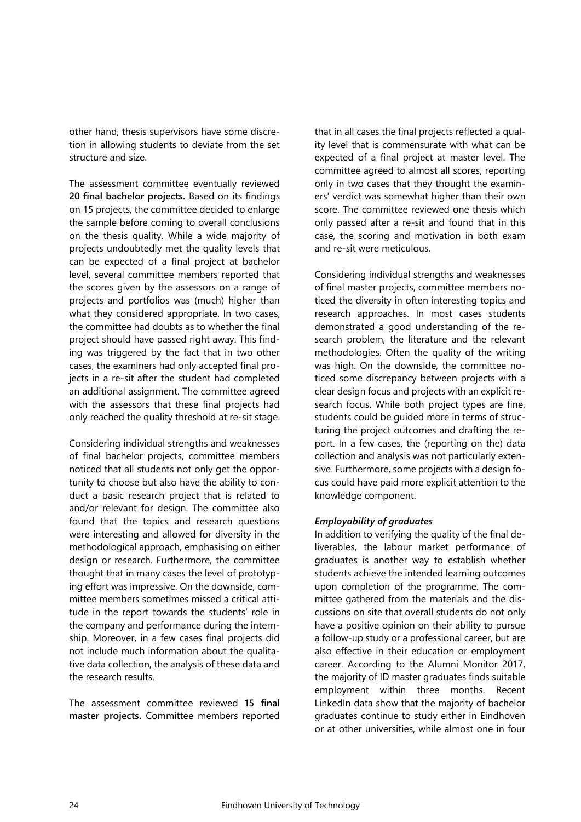other hand, thesis supervisors have some discretion in allowing students to deviate from the set structure and size.

The assessment committee eventually reviewed **20 final bachelor projects.** Based on its findings on 15 projects, the committee decided to enlarge the sample before coming to overall conclusions on the thesis quality. While a wide majority of projects undoubtedly met the quality levels that can be expected of a final project at bachelor level, several committee members reported that the scores given by the assessors on a range of projects and portfolios was (much) higher than what they considered appropriate. In two cases, the committee had doubts as to whether the final project should have passed right away. This finding was triggered by the fact that in two other cases, the examiners had only accepted final projects in a re-sit after the student had completed an additional assignment. The committee agreed with the assessors that these final projects had only reached the quality threshold at re-sit stage.

Considering individual strengths and weaknesses of final bachelor projects, committee members noticed that all students not only get the opportunity to choose but also have the ability to conduct a basic research project that is related to and/or relevant for design. The committee also found that the topics and research questions were interesting and allowed for diversity in the methodological approach, emphasising on either design or research. Furthermore, the committee thought that in many cases the level of prototyping effort was impressive. On the downside, committee members sometimes missed a critical attitude in the report towards the students' role in the company and performance during the internship. Moreover, in a few cases final projects did not include much information about the qualitative data collection, the analysis of these data and the research results.

The assessment committee reviewed **15 final master projects.** Committee members reported that in all cases the final projects reflected a quality level that is commensurate with what can be expected of a final project at master level. The committee agreed to almost all scores, reporting only in two cases that they thought the examiners' verdict was somewhat higher than their own score. The committee reviewed one thesis which only passed after a re-sit and found that in this case, the scoring and motivation in both exam and re-sit were meticulous.

Considering individual strengths and weaknesses of final master projects, committee members noticed the diversity in often interesting topics and research approaches. In most cases students demonstrated a good understanding of the research problem, the literature and the relevant methodologies. Often the quality of the writing was high. On the downside, the committee noticed some discrepancy between projects with a clear design focus and projects with an explicit research focus. While both project types are fine, students could be guided more in terms of structuring the project outcomes and drafting the report. In a few cases, the (reporting on the) data collection and analysis was not particularly extensive. Furthermore, some projects with a design focus could have paid more explicit attention to the knowledge component.

#### *Employability of graduates*

In addition to verifying the quality of the final deliverables, the labour market performance of graduates is another way to establish whether students achieve the intended learning outcomes upon completion of the programme. The committee gathered from the materials and the discussions on site that overall students do not only have a positive opinion on their ability to pursue a follow-up study or a professional career, but are also effective in their education or employment career. According to the Alumni Monitor 2017, the majority of ID master graduates finds suitable employment within three months. Recent LinkedIn data show that the majority of bachelor graduates continue to study either in Eindhoven or at other universities, while almost one in four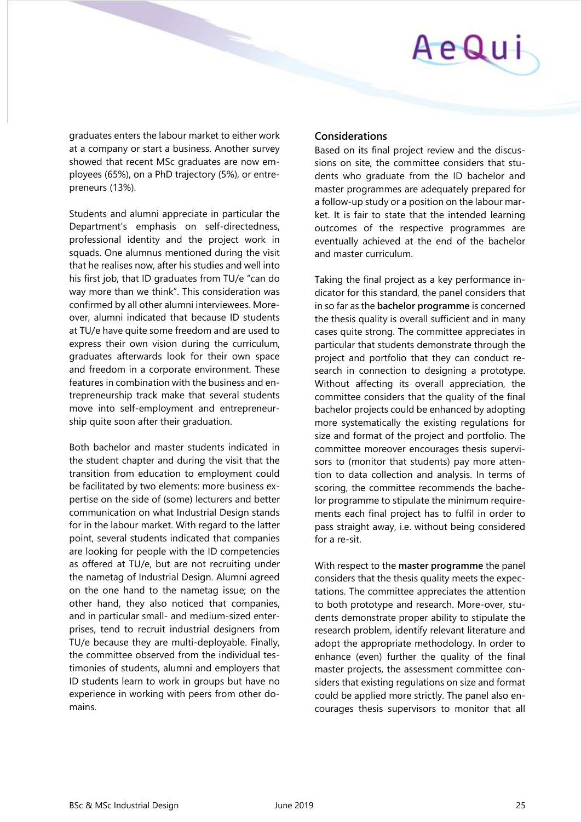graduates enters the labour market to either work at a company or start a business. Another survey showed that recent MSc graduates are now employees (65%), on a PhD trajectory (5%), or entrepreneurs (13%).

Students and alumni appreciate in particular the Department's emphasis on self-directedness, professional identity and the project work in squads. One alumnus mentioned during the visit that he realises now, after his studies and well into his first job, that ID graduates from TU/e "can do way more than we think". This consideration was confirmed by all other alumni interviewees. Moreover, alumni indicated that because ID students at TU/e have quite some freedom and are used to express their own vision during the curriculum, graduates afterwards look for their own space and freedom in a corporate environment. These features in combination with the business and entrepreneurship track make that several students move into self-employment and entrepreneurship quite soon after their graduation.

Both bachelor and master students indicated in the student chapter and during the visit that the transition from education to employment could be facilitated by two elements: more business expertise on the side of (some) lecturers and better communication on what Industrial Design stands for in the labour market. With regard to the latter point, several students indicated that companies are looking for people with the ID competencies as offered at TU/e, but are not recruiting under the nametag of Industrial Design. Alumni agreed on the one hand to the nametag issue; on the other hand, they also noticed that companies, and in particular small- and medium-sized enterprises, tend to recruit industrial designers from TU/e because they are multi-deployable. Finally, the committee observed from the individual testimonies of students, alumni and employers that ID students learn to work in groups but have no experience in working with peers from other domains.

#### **Considerations**

Based on its final project review and the discussions on site, the committee considers that students who graduate from the ID bachelor and master programmes are adequately prepared for a follow-up study or a position on the labour market. It is fair to state that the intended learning outcomes of the respective programmes are eventually achieved at the end of the bachelor and master curriculum.

Taking the final project as a key performance indicator for this standard, the panel considers that in so far as the **bachelor programme** is concerned the thesis quality is overall sufficient and in many cases quite strong. The committee appreciates in particular that students demonstrate through the project and portfolio that they can conduct research in connection to designing a prototype. Without affecting its overall appreciation, the committee considers that the quality of the final bachelor projects could be enhanced by adopting more systematically the existing regulations for size and format of the project and portfolio. The committee moreover encourages thesis supervisors to (monitor that students) pay more attention to data collection and analysis. In terms of scoring, the committee recommends the bachelor programme to stipulate the minimum requirements each final project has to fulfil in order to pass straight away, i.e. without being considered for a re-sit.

With respect to the **master programme** the panel considers that the thesis quality meets the expectations. The committee appreciates the attention to both prototype and research. More-over, students demonstrate proper ability to stipulate the research problem, identify relevant literature and adopt the appropriate methodology. In order to enhance (even) further the quality of the final master projects, the assessment committee considers that existing regulations on size and format could be applied more strictly. The panel also encourages thesis supervisors to monitor that all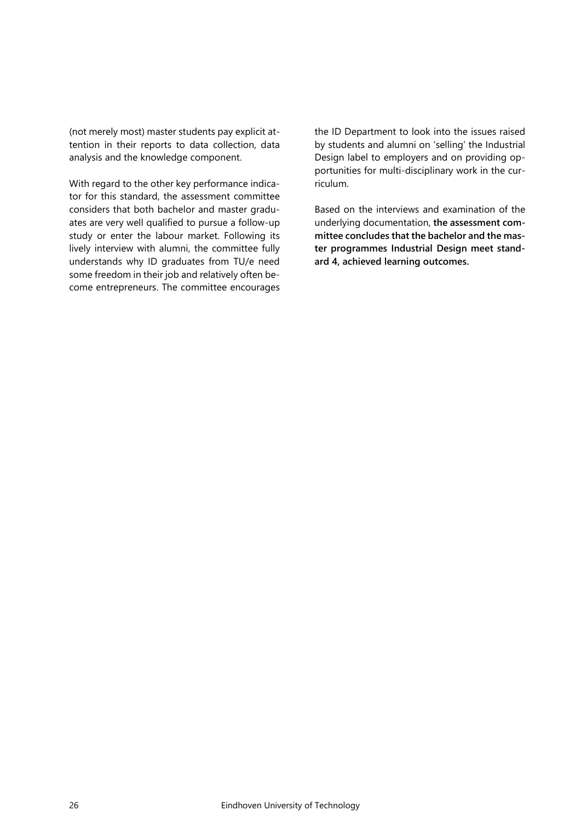(not merely most) master students pay explicit attention in their reports to data collection, data analysis and the knowledge component.

With regard to the other key performance indicator for this standard, the assessment committee considers that both bachelor and master graduates are very well qualified to pursue a follow-up study or enter the labour market. Following its lively interview with alumni, the committee fully understands why ID graduates from TU/e need some freedom in their job and relatively often become entrepreneurs. The committee encourages

the ID Department to look into the issues raised by students and alumni on 'selling' the Industrial Design label to employers and on providing opportunities for multi-disciplinary work in the curriculum.

Based on the interviews and examination of the underlying documentation, **the assessment committee concludes that the bachelor and the master programmes Industrial Design meet standard 4, achieved learning outcomes.**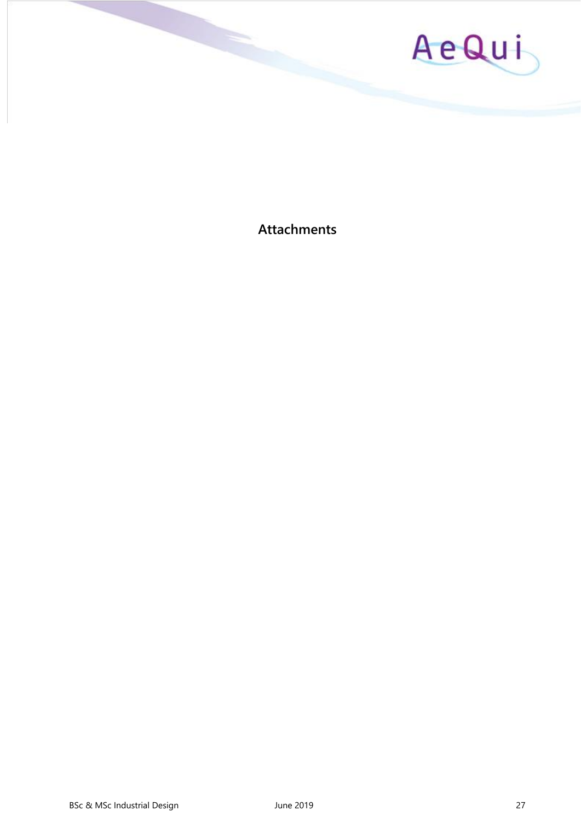

<span id="page-26-0"></span>**Attachments**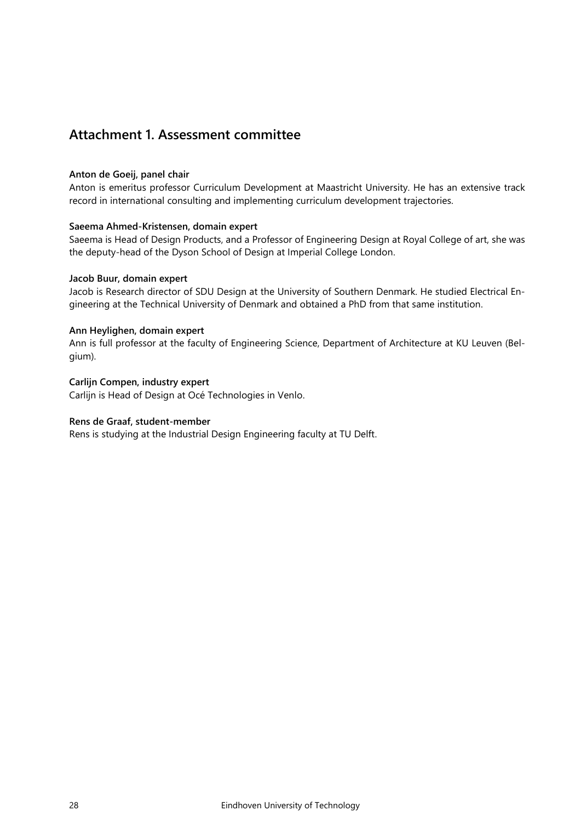### <span id="page-27-0"></span>**Attachment 1. Assessment committee**

#### **Anton de Goeij, panel chair**

Anton is emeritus professor Curriculum Development at Maastricht University. He has an extensive track record in international consulting and implementing curriculum development trajectories.

#### **Saeema Ahmed-Kristensen, domain expert**

Saeema is Head of Design Products, and a Professor of Engineering Design at Royal College of art, she was the deputy-head of the Dyson School of Design at Imperial College London.

#### **Jacob Buur, domain expert**

Jacob is Research director of SDU Design at the University of Southern Denmark. He studied Electrical Engineering at the Technical University of Denmark and obtained a PhD from that same institution.

#### **Ann Heylighen, domain expert**

Ann is full professor at the faculty of Engineering Science, Department of Architecture at KU Leuven (Belgium).

#### **Carlijn Compen, industry expert**

Carlijn is Head of Design at Océ Technologies in Venlo.

#### **Rens de Graaf, student-member**

Rens is studying at the Industrial Design Engineering faculty at TU Delft.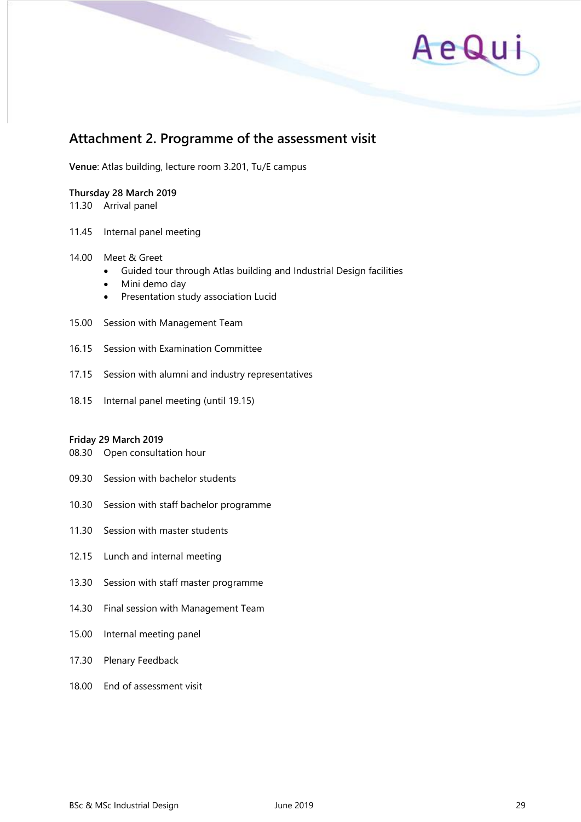

### <span id="page-28-0"></span>**Attachment 2. Programme of the assessment visit**

**Venue**: Atlas building, lecture room 3.201, Tu/E campus

#### **Thursday 28 March 2019**

11.30 Arrival panel

11.45 Internal panel meeting

#### 14.00 Meet & Greet

- Guided tour through Atlas building and Industrial Design facilities
- Mini demo day
- Presentation study association Lucid
- 15.00 Session with Management Team
- 16.15 Session with Examination Committee
- 17.15 Session with alumni and industry representatives
- 18.15 Internal panel meeting (until 19.15)

#### **Friday 29 March 2019**

- 08.30 Open consultation hour
- 09.30 Session with bachelor students
- 10.30 Session with staff bachelor programme
- 11.30 Session with master students
- 12.15 Lunch and internal meeting
- 13.30 Session with staff master programme
- 14.30 Final session with Management Team
- 15.00 Internal meeting panel
- 17.30 Plenary Feedback
- 18.00 End of assessment visit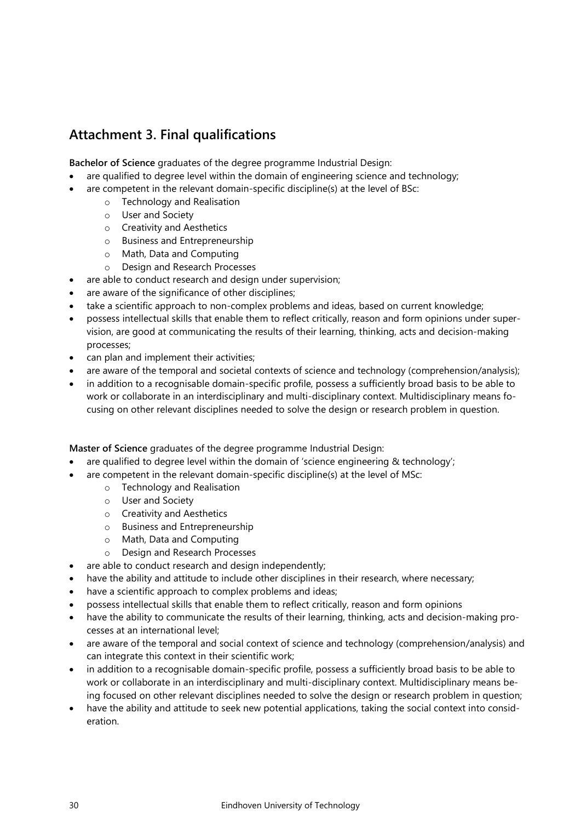### <span id="page-29-0"></span>**Attachment 3. Final qualifications**

**Bachelor of Science** graduates of the degree programme Industrial Design:

- are qualified to degree level within the domain of engineering science and technology;
- are competent in the relevant domain-specific discipline(s) at the level of BSc:
	- o Technology and Realisation
		- o User and Society
		- o Creativity and Aesthetics
		- o Business and Entrepreneurship
		- o Math, Data and Computing
		- o Design and Research Processes
- are able to conduct research and design under supervision;
- are aware of the significance of other disciplines;
- take a scientific approach to non-complex problems and ideas, based on current knowledge;
- possess intellectual skills that enable them to reflect critically, reason and form opinions under supervision, are good at communicating the results of their learning, thinking, acts and decision-making processes;
- can plan and implement their activities;
- are aware of the temporal and societal contexts of science and technology (comprehension/analysis);
- in addition to a recognisable domain-specific profile, possess a sufficiently broad basis to be able to work or collaborate in an interdisciplinary and multi-disciplinary context. Multidisciplinary means focusing on other relevant disciplines needed to solve the design or research problem in question.

**Master of Science** graduates of the degree programme Industrial Design:

- are qualified to degree level within the domain of 'science engineering & technology';
	- are competent in the relevant domain-specific discipline(s) at the level of MSc:
		- o Technology and Realisation
		- o User and Society
		- o Creativity and Aesthetics
		- o Business and Entrepreneurship
		- o Math, Data and Computing
		- o Design and Research Processes
- are able to conduct research and design independently;
- have the ability and attitude to include other disciplines in their research, where necessary;
- have a scientific approach to complex problems and ideas;
- possess intellectual skills that enable them to reflect critically, reason and form opinions
- have the ability to communicate the results of their learning, thinking, acts and decision-making processes at an international level;
- are aware of the temporal and social context of science and technology (comprehension/analysis) and can integrate this context in their scientific work;
- in addition to a recognisable domain-specific profile, possess a sufficiently broad basis to be able to work or collaborate in an interdisciplinary and multi-disciplinary context. Multidisciplinary means being focused on other relevant disciplines needed to solve the design or research problem in question;
- have the ability and attitude to seek new potential applications, taking the social context into consideration.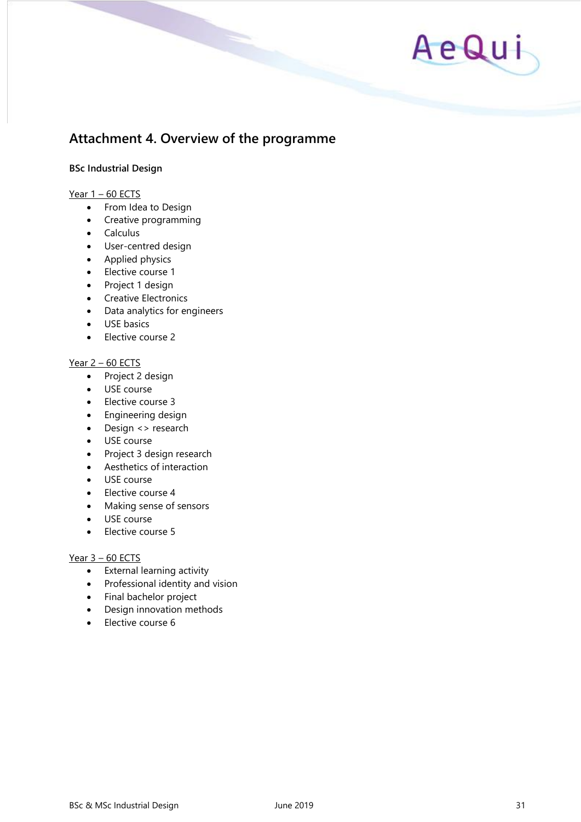

## <span id="page-30-0"></span>**Attachment 4. Overview of the programme**

#### **BSc Industrial Design**

#### Year  $1 - 60$  ECTS

- From Idea to Design
- Creative programming
- Calculus
- User-centred design
- Applied physics
- Elective course 1
- Project 1 design
- Creative Electronics
- Data analytics for engineers
- USE basics
- Elective course 2

#### Year 2 – 60 ECTS

- Project 2 design
- USE course
- Elective course 3
- Engineering design
- Design <> research
- USE course
- Project 3 design research
- Aesthetics of interaction
- USE course
- Elective course 4
- Making sense of sensors
- USE course
- Elective course 5

#### Year 3 – 60 ECTS

- External learning activity
- Professional identity and vision
- Final bachelor project
- Design innovation methods
- Elective course 6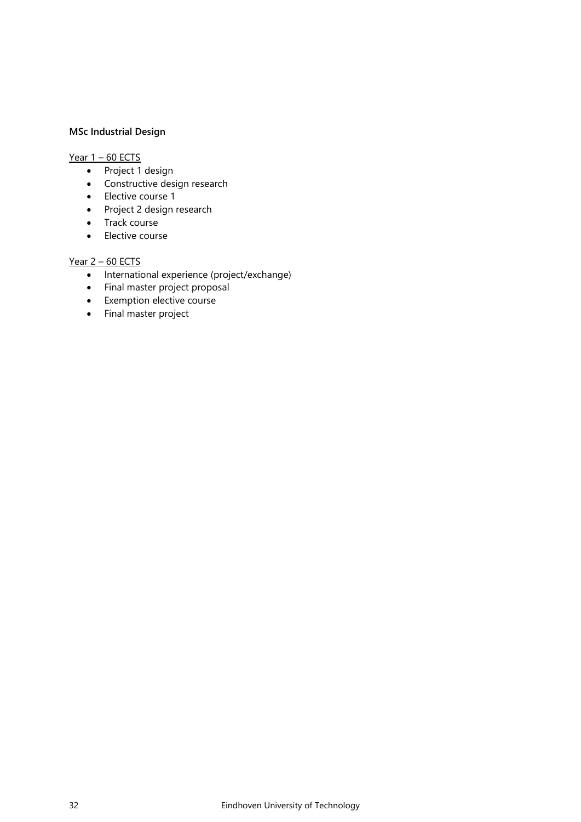#### **MSc Industrial Design**

#### Year 1 – 60 ECTS

- Project 1 design
- Constructive design research
- Elective course 1
- Project 2 design research
- Track course
- Elective course

#### Year 2 – 60 ECTS

- International experience (project/exchange)
- Final master project proposal
- Exemption elective course
- Final master project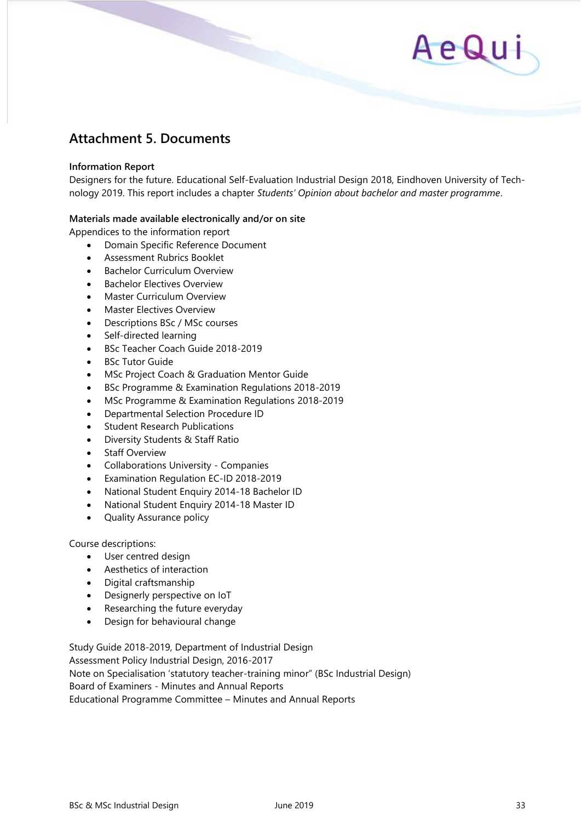### <span id="page-32-0"></span>**Attachment 5. Documents**

#### **Information Report**

Designers for the future. Educational Self-Evaluation Industrial Design 2018, Eindhoven University of Technology 2019. This report includes a chapter *Students' Opinion about bachelor and master programme*.

#### **Materials made available electronically and/or on site**

Appendices to the information report

- Domain Specific Reference Document
- Assessment Rubrics Booklet
- Bachelor Curriculum Overview
- Bachelor Electives Overview
- Master Curriculum Overview
- Master Electives Overview
- Descriptions BSc / MSc courses
- Self-directed learning
- BSc Teacher Coach Guide 2018-2019
- **BSc Tutor Guide**
- MSc Project Coach & Graduation Mentor Guide
- BSc Programme & Examination Regulations 2018-2019
- MSc Programme & Examination Regulations 2018-2019
- Departmental Selection Procedure ID
- Student Research Publications
- Diversity Students & Staff Ratio
- **Staff Overview**
- Collaborations University Companies
- Examination Regulation EC-ID 2018-2019
- National Student Enquiry 2014-18 Bachelor ID
- National Student Enquiry 2014-18 Master ID
- Quality Assurance policy

#### Course descriptions:

- User centred design
- Aesthetics of interaction
- Digital craftsmanship
- Designerly perspective on IoT
- Researching the future everyday
- Design for behavioural change

Study Guide 2018-2019, Department of Industrial Design Assessment Policy Industrial Design, 2016-2017 Note on Specialisation 'statutory teacher-training minor" (BSc Industrial Design) Board of Examiners - Minutes and Annual Reports Educational Programme Committee – Minutes and Annual Reports